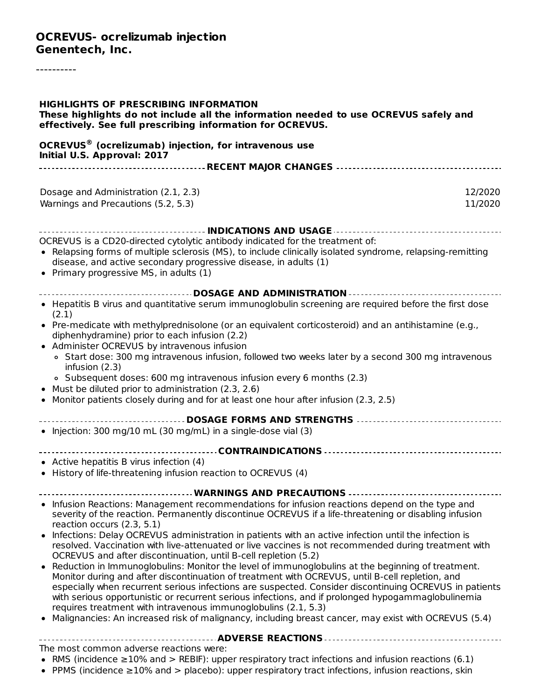## **OCREVUS- ocrelizumab injection Genentech, Inc.**

----------

| <b>HIGHLIGHTS OF PRESCRIBING INFORMATION</b><br>These highlights do not include all the information needed to use OCREVUS safely and<br>effectively. See full prescribing information for OCREVUS.                                                                                                                                                                                                                                                                                                                                                                                             |                    |
|------------------------------------------------------------------------------------------------------------------------------------------------------------------------------------------------------------------------------------------------------------------------------------------------------------------------------------------------------------------------------------------------------------------------------------------------------------------------------------------------------------------------------------------------------------------------------------------------|--------------------|
| <b>OCREVUS<sup>®</sup></b> (ocrelizumab) injection, for intravenous use<br>Initial U.S. Approval: 2017                                                                                                                                                                                                                                                                                                                                                                                                                                                                                         |                    |
|                                                                                                                                                                                                                                                                                                                                                                                                                                                                                                                                                                                                |                    |
| Dosage and Administration (2.1, 2.3)<br>Warnings and Precautions (5.2, 5.3)                                                                                                                                                                                                                                                                                                                                                                                                                                                                                                                    | 12/2020<br>11/2020 |
|                                                                                                                                                                                                                                                                                                                                                                                                                                                                                                                                                                                                |                    |
| OCREVUS is a CD20-directed cytolytic antibody indicated for the treatment of:<br>• Relapsing forms of multiple sclerosis (MS), to include clinically isolated syndrome, relapsing-remitting<br>disease, and active secondary progressive disease, in adults (1)<br>• Primary progressive MS, in adults (1)                                                                                                                                                                                                                                                                                     |                    |
| <b> DOSAGE AND ADMINISTRATION </b>                                                                                                                                                                                                                                                                                                                                                                                                                                                                                                                                                             |                    |
| • Hepatitis B virus and quantitative serum immunoglobulin screening are required before the first dose<br>(2.1)                                                                                                                                                                                                                                                                                                                                                                                                                                                                                |                    |
| . Pre-medicate with methylprednisolone (or an equivalent corticosteroid) and an antihistamine (e.g.,<br>diphenhydramine) prior to each infusion (2.2)<br>• Administer OCREVUS by intravenous infusion                                                                                                                                                                                                                                                                                                                                                                                          |                    |
| • Start dose: 300 mg intravenous infusion, followed two weeks later by a second 300 mg intravenous<br>infusion (2.3)<br>• Subsequent doses: 600 mg intravenous infusion every 6 months (2.3)                                                                                                                                                                                                                                                                                                                                                                                                   |                    |
| Must be diluted prior to administration (2.3, 2.6)<br>Monitor patients closely during and for at least one hour after infusion (2.3, 2.5)                                                                                                                                                                                                                                                                                                                                                                                                                                                      |                    |
| ------------------------- DOSAGE FORMS AND STRENGTHS ---------------------------------<br>• Injection: 300 mg/10 mL (30 mg/mL) in a single-dose vial (3)                                                                                                                                                                                                                                                                                                                                                                                                                                       |                    |
|                                                                                                                                                                                                                                                                                                                                                                                                                                                                                                                                                                                                |                    |
| • Active hepatitis B virus infection (4)<br>• History of life-threatening infusion reaction to OCREVUS (4)                                                                                                                                                                                                                                                                                                                                                                                                                                                                                     |                    |
| WARNINGS AND PRECAUTIONS                                                                                                                                                                                                                                                                                                                                                                                                                                                                                                                                                                       |                    |
| • Infusion Reactions: Management recommendations for infusion reactions depend on the type and<br>severity of the reaction. Permanently discontinue OCREVUS if a life-threatening or disabling infusion<br>reaction occurs (2.3, 5.1)                                                                                                                                                                                                                                                                                                                                                          |                    |
| • Infections: Delay OCREVUS administration in patients with an active infection until the infection is<br>resolved. Vaccination with live-attenuated or live vaccines is not recommended during treatment with<br>OCREVUS and after discontinuation, until B-cell repletion (5.2)                                                                                                                                                                                                                                                                                                              |                    |
| Reduction in Immunoglobulins: Monitor the level of immunoglobulins at the beginning of treatment.<br>Monitor during and after discontinuation of treatment with OCREVUS, until B-cell repletion, and<br>especially when recurrent serious infections are suspected. Consider discontinuing OCREVUS in patients<br>with serious opportunistic or recurrent serious infections, and if prolonged hypogammaglobulinemia<br>requires treatment with intravenous immunoglobulins (2.1, 5.3)<br>Malignancies: An increased risk of malignancy, including breast cancer, may exist with OCREVUS (5.4) |                    |
|                                                                                                                                                                                                                                                                                                                                                                                                                                                                                                                                                                                                |                    |
|                                                                                                                                                                                                                                                                                                                                                                                                                                                                                                                                                                                                |                    |
| The most common adverse reactions were:<br>• RMS (incidence $\geq$ 10% and > REBIF): upper respiratory tract infections and infusion reactions (6.1)                                                                                                                                                                                                                                                                                                                                                                                                                                           |                    |

PPMS (incidence ≥10% and > placebo): upper respiratory tract infections, infusion reactions, skin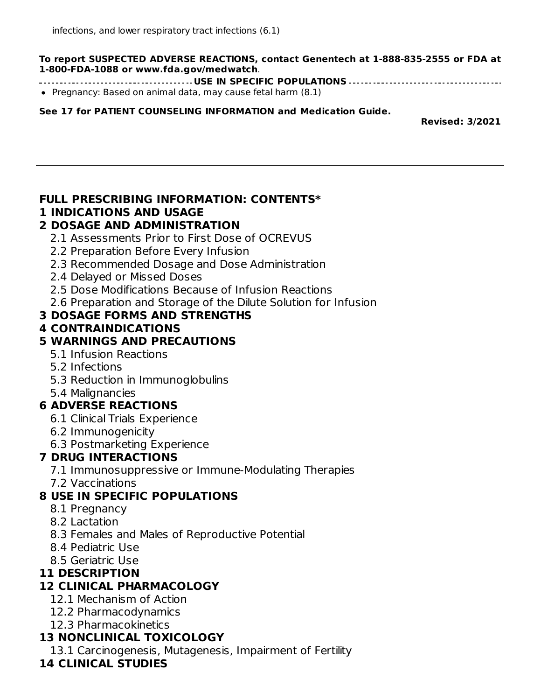**To report SUSPECTED ADVERSE REACTIONS, contact Genentech at 1-888-835-2555 or FDA at 1-800-FDA-1088 or www.fda.gov/medwatch**.

- **USE IN SPECIFIC POPULATIONS**
- Pregnancy: Based on animal data, may cause fetal harm (8.1)

**See 17 for PATIENT COUNSELING INFORMATION and Medication Guide.**

**Revised: 3/2021**

## **FULL PRESCRIBING INFORMATION: CONTENTS\***

#### **1 INDICATIONS AND USAGE**

### **2 DOSAGE AND ADMINISTRATION**

- 2.1 Assessments Prior to First Dose of OCREVUS
- 2.2 Preparation Before Every Infusion
- 2.3 Recommended Dosage and Dose Administration
- 2.4 Delayed or Missed Doses
- 2.5 Dose Modifications Because of Infusion Reactions
- 2.6 Preparation and Storage of the Dilute Solution for Infusion

## **3 DOSAGE FORMS AND STRENGTHS**

### **4 CONTRAINDICATIONS**

### **5 WARNINGS AND PRECAUTIONS**

- 5.1 Infusion Reactions
- 5.2 Infections
- 5.3 Reduction in Immunoglobulins
- 5.4 Malignancies

## **6 ADVERSE REACTIONS**

- 6.1 Clinical Trials Experience
- 6.2 Immunogenicity
- 6.3 Postmarketing Experience

## **7 DRUG INTERACTIONS**

- 7.1 Immunosuppressive or Immune-Modulating Therapies
- 7.2 Vaccinations

## **8 USE IN SPECIFIC POPULATIONS**

- 8.1 Pregnancy
- 8.2 Lactation
- 8.3 Females and Males of Reproductive Potential
- 8.4 Pediatric Use
- 8.5 Geriatric Use

## **11 DESCRIPTION**

# **12 CLINICAL PHARMACOLOGY**

- 12.1 Mechanism of Action
- 12.2 Pharmacodynamics
- 12.3 Pharmacokinetics

# **13 NONCLINICAL TOXICOLOGY**

13.1 Carcinogenesis, Mutagenesis, Impairment of Fertility

## **14 CLINICAL STUDIES**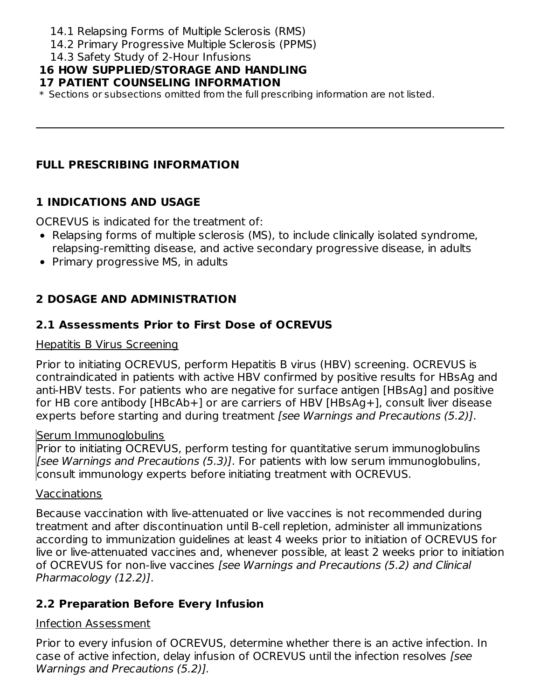- 14.1 Relapsing Forms of Multiple Sclerosis (RMS)
- 14.2 Primary Progressive Multiple Sclerosis (PPMS)
- 14.3 Safety Study of 2-Hour Infusions

# **16 HOW SUPPLIED/STORAGE AND HANDLING**

## **17 PATIENT COUNSELING INFORMATION**

\* Sections or subsections omitted from the full prescribing information are not listed.

## **FULL PRESCRIBING INFORMATION**

## **1 INDICATIONS AND USAGE**

OCREVUS is indicated for the treatment of:

- Relapsing forms of multiple sclerosis (MS), to include clinically isolated syndrome, relapsing-remitting disease, and active secondary progressive disease, in adults
- Primary progressive MS, in adults

# **2 DOSAGE AND ADMINISTRATION**

# **2.1 Assessments Prior to First Dose of OCREVUS**

### Hepatitis B Virus Screening

Prior to initiating OCREVUS, perform Hepatitis B virus (HBV) screening. OCREVUS is contraindicated in patients with active HBV confirmed by positive results for HBsAg and anti-HBV tests. For patients who are negative for surface antigen [HBsAg] and positive for HB core antibody [HBcAb+] or are carriers of HBV [HBsAg+], consult liver disease experts before starting and during treatment (see Warnings and Precautions (5.2)].

### Serum Immunoglobulins

Prior to initiating OCREVUS, perform testing for quantitative serum immunoglobulins [see Warnings and Precautions (5.3)]. For patients with low serum immunoglobulins, consult immunology experts before initiating treatment with OCREVUS.

### Vaccinations

Because vaccination with live-attenuated or live vaccines is not recommended during treatment and after discontinuation until B-cell repletion, administer all immunizations according to immunization guidelines at least 4 weeks prior to initiation of OCREVUS for live or live-attenuated vaccines and, whenever possible, at least 2 weeks prior to initiation of OCREVUS for non-live vaccines [see Warnings and Precautions (5.2) and Clinical Pharmacology (12.2)].

# **2.2 Preparation Before Every Infusion**

### Infection Assessment

Prior to every infusion of OCREVUS, determine whether there is an active infection. In case of active infection, delay infusion of OCREVUS until the infection resolves [see Warnings and Precautions (5.2)].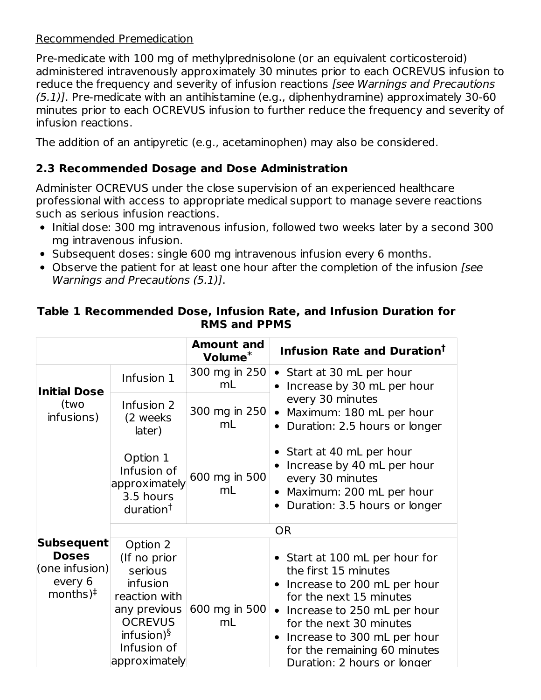### Recommended Premedication

Pre-medicate with 100 mg of methylprednisolone (or an equivalent corticosteroid) administered intravenously approximately 30 minutes prior to each OCREVUS infusion to reduce the frequency and severity of infusion reactions [see Warnings and Precautions (5.1)]. Pre-medicate with an antihistamine (e.g., diphenhydramine) approximately 30-60 minutes prior to each OCREVUS infusion to further reduce the frequency and severity of infusion reactions.

The addition of an antipyretic (e.g., acetaminophen) may also be considered.

### **2.3 Recommended Dosage and Dose Administration**

Administer OCREVUS under the close supervision of an experienced healthcare professional with access to appropriate medical support to manage severe reactions such as serious infusion reactions.

- Initial dose: 300 mg intravenous infusion, followed two weeks later by a second 300 mg intravenous infusion.
- Subsequent doses: single 600 mg intravenous infusion every 6 months.
- Observe the patient for at least one hour after the completion of the infusion *[see*] Warnings and Precautions (5.1)].

|                                                                                            |                                                                                                                                                      | <b>Amount and</b><br>Volume <sup>*</sup> | <b>Infusion Rate and Duration<sup>†</sup></b>                                                                                                                                                                                                                              |
|--------------------------------------------------------------------------------------------|------------------------------------------------------------------------------------------------------------------------------------------------------|------------------------------------------|----------------------------------------------------------------------------------------------------------------------------------------------------------------------------------------------------------------------------------------------------------------------------|
| <b>Initial Dose</b>                                                                        | Infusion 1                                                                                                                                           | 300 mg in 250<br>mL                      | • Start at 30 mL per hour<br>Increase by 30 mL per hour                                                                                                                                                                                                                    |
| (two<br>infusions)                                                                         | Infusion 2<br>(2 weeks)<br>later)                                                                                                                    | 300 mg in 250<br>mL                      | every 30 minutes<br>Maximum: 180 mL per hour<br>Duration: 2.5 hours or longer                                                                                                                                                                                              |
|                                                                                            | Option 1<br>Infusion of<br>approximately<br>3.5 hours<br>duration <sup>†</sup>                                                                       | 600 mg in 500<br>mL                      | Start at 40 mL per hour<br>Increase by 40 mL per hour<br>every 30 minutes<br>Maximum: 200 mL per hour<br>Duration: 3.5 hours or longer                                                                                                                                     |
|                                                                                            |                                                                                                                                                      |                                          | <b>OR</b>                                                                                                                                                                                                                                                                  |
| <b>Subsequent</b><br><b>Doses</b><br>(one information)<br>every 6<br>months $)^{\ddagger}$ | Option 2<br>(If no prior<br>serious<br>infusion<br>reaction with<br>any previous<br><b>OCREVUS</b><br>infusion) $\S$<br>Infusion of<br>approximately | 600 mg in 500<br>mL                      | • Start at 100 mL per hour for<br>the first 15 minutes<br>Increase to 200 mL per hour<br>for the next 15 minutes<br>• Increase to 250 mL per hour<br>for the next 30 minutes<br>Increase to 300 mL per hour<br>for the remaining 60 minutes<br>Duration: 2 hours or longer |

### **Table 1 Recommended Dose, Infusion Rate, and Infusion Duration for RMS and PPMS**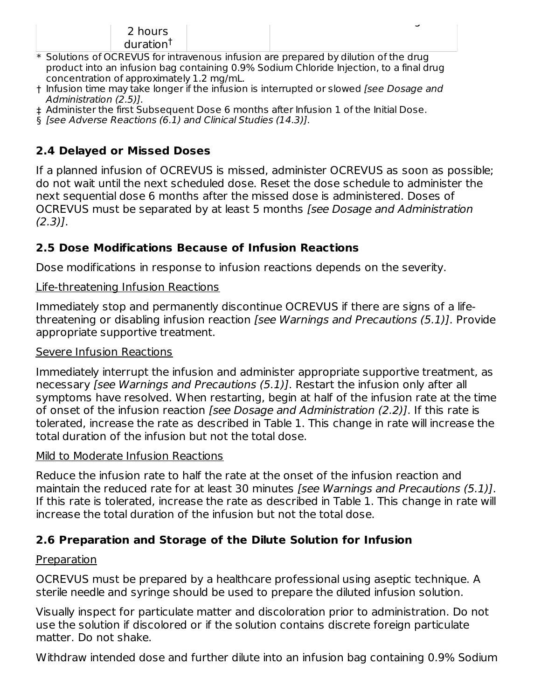#### 2 hours duration †

\* Solutions of OCREVUS for intravenous infusion are prepared by dilution of the drug product into an infusion bag containing 0.9% Sodium Chloride Injection, to a final drug concentration of approximately 1.2 mg/mL.

Duration: 2 hours or longer

- † Infusion time may take longer if the infusion is interrupted or slowed [see Dosage and Administration (2.5)].
- ‡ Administer the first Subsequent Dose 6 months after Infusion 1 of the Initial Dose.
- § [see Adverse Reactions (6.1) and Clinical Studies (14.3)].

# **2.4 Delayed or Missed Doses**

If a planned infusion of OCREVUS is missed, administer OCREVUS as soon as possible; do not wait until the next scheduled dose. Reset the dose schedule to administer the next sequential dose 6 months after the missed dose is administered. Doses of OCREVUS must be separated by at least 5 months [see Dosage and Administration  $(2.3)$ ].

# **2.5 Dose Modifications Because of Infusion Reactions**

Dose modifications in response to infusion reactions depends on the severity.

## Life-threatening Infusion Reactions

Immediately stop and permanently discontinue OCREVUS if there are signs of a lifethreatening or disabling infusion reaction [see Warnings and Precautions (5.1)]. Provide appropriate supportive treatment.

### Severe Infusion Reactions

Immediately interrupt the infusion and administer appropriate supportive treatment, as necessary [see Warnings and Precautions (5.1)]. Restart the infusion only after all symptoms have resolved. When restarting, begin at half of the infusion rate at the time of onset of the infusion reaction [see Dosage and Administration (2.2)]. If this rate is tolerated, increase the rate as described in Table 1. This change in rate will increase the total duration of the infusion but not the total dose.

## Mild to Moderate Infusion Reactions

Reduce the infusion rate to half the rate at the onset of the infusion reaction and maintain the reduced rate for at least 30 minutes [see Warnings and Precautions (5.1)]. If this rate is tolerated, increase the rate as described in Table 1. This change in rate will increase the total duration of the infusion but not the total dose.

# **2.6 Preparation and Storage of the Dilute Solution for Infusion**

## Preparation

OCREVUS must be prepared by a healthcare professional using aseptic technique. A sterile needle and syringe should be used to prepare the diluted infusion solution.

Visually inspect for particulate matter and discoloration prior to administration. Do not use the solution if discolored or if the solution contains discrete foreign particulate matter. Do not shake.

Withdraw intended dose and further dilute into an infusion bag containing 0.9% Sodium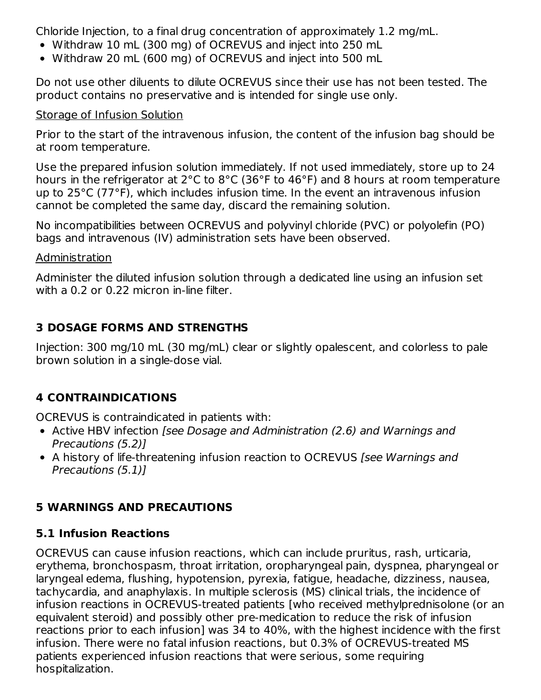Chloride Injection, to a final drug concentration of approximately 1.2 mg/mL.

- Withdraw 10 mL (300 mg) of OCREVUS and inject into 250 mL
- Withdraw 20 mL (600 mg) of OCREVUS and inject into 500 mL

Do not use other diluents to dilute OCREVUS since their use has not been tested. The product contains no preservative and is intended for single use only.

### Storage of Infusion Solution

Prior to the start of the intravenous infusion, the content of the infusion bag should be at room temperature.

Use the prepared infusion solution immediately. If not used immediately, store up to 24 hours in the refrigerator at 2°C to 8°C (36°F to 46°F) and 8 hours at room temperature up to 25°C (77°F), which includes infusion time. In the event an intravenous infusion cannot be completed the same day, discard the remaining solution.

No incompatibilities between OCREVUS and polyvinyl chloride (PVC) or polyolefin (PO) bags and intravenous (IV) administration sets have been observed.

### Administration

Administer the diluted infusion solution through a dedicated line using an infusion set with a 0.2 or 0.22 micron in-line filter.

# **3 DOSAGE FORMS AND STRENGTHS**

Injection: 300 mg/10 mL (30 mg/mL) clear or slightly opalescent, and colorless to pale brown solution in a single-dose vial.

# **4 CONTRAINDICATIONS**

OCREVUS is contraindicated in patients with:

- Active HBV infection [see Dosage and Administration (2.6) and Warnings and Precautions (5.2)]
- A history of life-threatening infusion reaction to OCREVUS [see Warnings and Precautions (5.1)]

# **5 WARNINGS AND PRECAUTIONS**

## **5.1 Infusion Reactions**

OCREVUS can cause infusion reactions, which can include pruritus, rash, urticaria, erythema, bronchospasm, throat irritation, oropharyngeal pain, dyspnea, pharyngeal or laryngeal edema, flushing, hypotension, pyrexia, fatigue, headache, dizziness, nausea, tachycardia, and anaphylaxis. In multiple sclerosis (MS) clinical trials, the incidence of infusion reactions in OCREVUS-treated patients [who received methylprednisolone (or an equivalent steroid) and possibly other pre-medication to reduce the risk of infusion reactions prior to each infusion] was 34 to 40%, with the highest incidence with the first infusion. There were no fatal infusion reactions, but 0.3% of OCREVUS-treated MS patients experienced infusion reactions that were serious, some requiring hospitalization.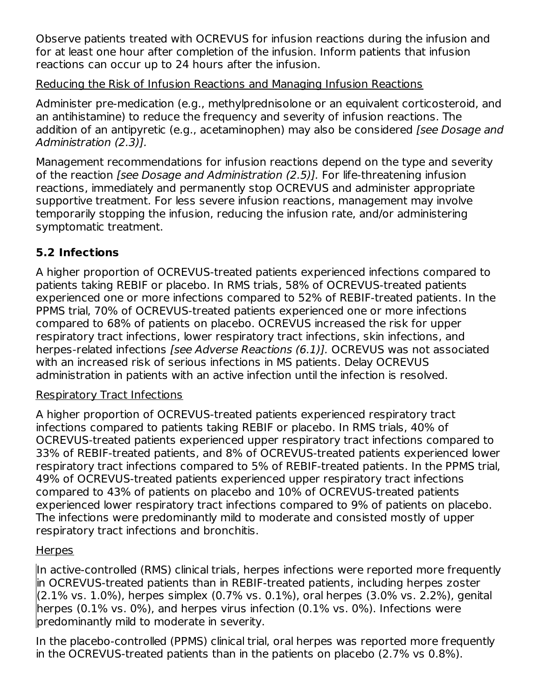Observe patients treated with OCREVUS for infusion reactions during the infusion and for at least one hour after completion of the infusion. Inform patients that infusion reactions can occur up to 24 hours after the infusion.

## Reducing the Risk of Infusion Reactions and Managing Infusion Reactions

Administer pre-medication (e.g., methylprednisolone or an equivalent corticosteroid, and an antihistamine) to reduce the frequency and severity of infusion reactions. The addition of an antipyretic (e.g., acetaminophen) may also be considered *[see Dosage and* Administration (2.3)].

Management recommendations for infusion reactions depend on the type and severity of the reaction [see Dosage and Administration (2.5)]. For life-threatening infusion reactions, immediately and permanently stop OCREVUS and administer appropriate supportive treatment. For less severe infusion reactions, management may involve temporarily stopping the infusion, reducing the infusion rate, and/or administering symptomatic treatment.

## **5.2 Infections**

A higher proportion of OCREVUS-treated patients experienced infections compared to patients taking REBIF or placebo. In RMS trials, 58% of OCREVUS-treated patients experienced one or more infections compared to 52% of REBIF-treated patients. In the PPMS trial, 70% of OCREVUS-treated patients experienced one or more infections compared to 68% of patients on placebo. OCREVUS increased the risk for upper respiratory tract infections, lower respiratory tract infections, skin infections, and herpes-related infections [see Adverse Reactions (6.1)]. OCREVUS was not associated with an increased risk of serious infections in MS patients. Delay OCREVUS administration in patients with an active infection until the infection is resolved.

## Respiratory Tract Infections

A higher proportion of OCREVUS-treated patients experienced respiratory tract infections compared to patients taking REBIF or placebo. In RMS trials, 40% of OCREVUS-treated patients experienced upper respiratory tract infections compared to 33% of REBIF-treated patients, and 8% of OCREVUS-treated patients experienced lower respiratory tract infections compared to 5% of REBIF-treated patients. In the PPMS trial, 49% of OCREVUS-treated patients experienced upper respiratory tract infections compared to 43% of patients on placebo and 10% of OCREVUS-treated patients experienced lower respiratory tract infections compared to 9% of patients on placebo. The infections were predominantly mild to moderate and consisted mostly of upper respiratory tract infections and bronchitis.

## **Herpes**

In active-controlled (RMS) clinical trials, herpes infections were reported more frequently in OCREVUS-treated patients than in REBIF-treated patients, including herpes zoster (2.1% vs. 1.0%), herpes simplex (0.7% vs. 0.1%), oral herpes (3.0% vs. 2.2%), genital herpes (0.1% vs. 0%), and herpes virus infection (0.1% vs. 0%). Infections were predominantly mild to moderate in severity.

In the placebo-controlled (PPMS) clinical trial, oral herpes was reported more frequently in the OCREVUS-treated patients than in the patients on placebo (2.7% vs 0.8%).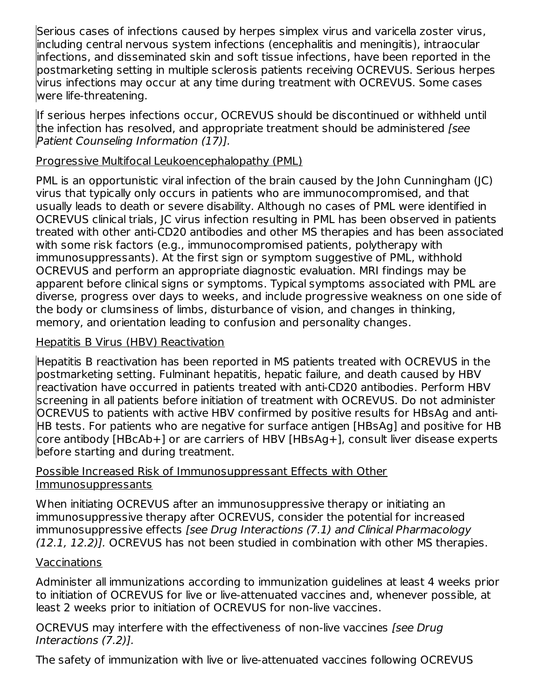Serious cases of infections caused by herpes simplex virus and varicella zoster virus, including central nervous system infections (encephalitis and meningitis), intraocular infections, and disseminated skin and soft tissue infections, have been reported in the postmarketing setting in multiple sclerosis patients receiving OCREVUS. Serious herpes virus infections may occur at any time during treatment with OCREVUS. Some cases were life-threatening.

If serious herpes infections occur, OCREVUS should be discontinued or withheld until the infection has resolved, and appropriate treatment should be administered *[see*] Patient Counseling Information (17)].

### Progressive Multifocal Leukoencephalopathy (PML)

PML is an opportunistic viral infection of the brain caused by the John Cunningham (JC) virus that typically only occurs in patients who are immunocompromised, and that usually leads to death or severe disability. Although no cases of PML were identified in OCREVUS clinical trials, JC virus infection resulting in PML has been observed in patients treated with other anti-CD20 antibodies and other MS therapies and has been associated with some risk factors (e.g., immunocompromised patients, polytherapy with immunosuppressants). At the first sign or symptom suggestive of PML, withhold OCREVUS and perform an appropriate diagnostic evaluation. MRI findings may be apparent before clinical signs or symptoms. Typical symptoms associated with PML are diverse, progress over days to weeks, and include progressive weakness on one side of the body or clumsiness of limbs, disturbance of vision, and changes in thinking, memory, and orientation leading to confusion and personality changes.

### Hepatitis B Virus (HBV) Reactivation

Hepatitis B reactivation has been reported in MS patients treated with OCREVUS in the postmarketing setting. Fulminant hepatitis, hepatic failure, and death caused by HBV reactivation have occurred in patients treated with anti-CD20 antibodies. Perform HBV screening in all patients before initiation of treatment with OCREVUS. Do not administer OCREVUS to patients with active HBV confirmed by positive results for HBsAg and anti-HB tests. For patients who are negative for surface antigen [HBsAg] and positive for HB core antibody [HBcAb+] or are carriers of HBV [HBsAg+], consult liver disease experts before starting and during treatment.

### Possible Increased Risk of Immunosuppressant Effects with Other Immunosuppressants

When initiating OCREVUS after an immunosuppressive therapy or initiating an immunosuppressive therapy after OCREVUS, consider the potential for increased immunosuppressive effects [see Drug Interactions (7.1) and Clinical Pharmacology (12.1, 12.2)]. OCREVUS has not been studied in combination with other MS therapies.

### Vaccinations

Administer all immunizations according to immunization guidelines at least 4 weeks prior to initiation of OCREVUS for live or live-attenuated vaccines and, whenever possible, at least 2 weeks prior to initiation of OCREVUS for non-live vaccines.

OCREVUS may interfere with the effectiveness of non-live vaccines [see Drug Interactions (7.2)].

The safety of immunization with live or live-attenuated vaccines following OCREVUS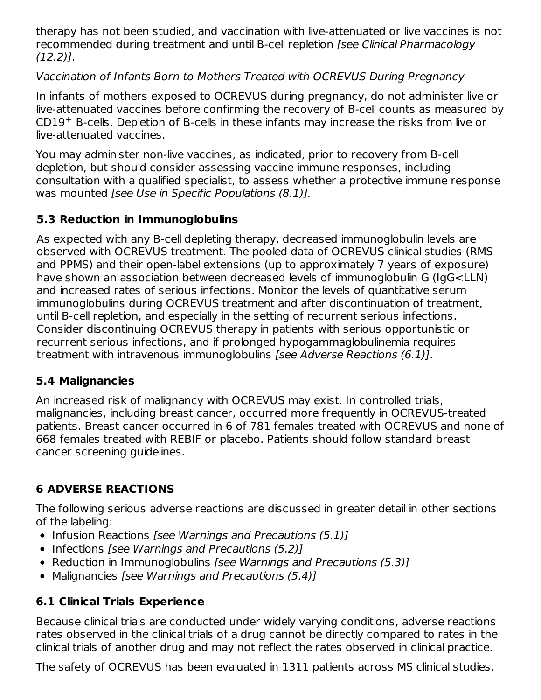therapy has not been studied, and vaccination with live-attenuated or live vaccines is not recommended during treatment and until B-cell repletion [see Clinical Pharmacology (12.2)].

## Vaccination of Infants Born to Mothers Treated with OCREVUS During Pregnancy

In infants of mothers exposed to OCREVUS during pregnancy, do not administer live or live-attenuated vaccines before confirming the recovery of B-cell counts as measured by  $CD19<sup>+</sup>$  B-cells. Depletion of B-cells in these infants may increase the risks from live or live-attenuated vaccines.

You may administer non-live vaccines, as indicated, prior to recovery from B-cell depletion, but should consider assessing vaccine immune responses, including consultation with a qualified specialist, to assess whether a protective immune response was mounted [see Use in Specific Populations (8.1)].

# **5.3 Reduction in Immunoglobulins**

As expected with any B-cell depleting therapy, decreased immunoglobulin levels are observed with OCREVUS treatment. The pooled data of OCREVUS clinical studies (RMS and PPMS) and their open-label extensions (up to approximately 7 years of exposure) have shown an association between decreased levels of immunoglobulin G (IgG<LLN) and increased rates of serious infections. Monitor the levels of quantitative serum immunoglobulins during OCREVUS treatment and after discontinuation of treatment, until B-cell repletion, and especially in the setting of recurrent serious infections. Consider discontinuing OCREVUS therapy in patients with serious opportunistic or recurrent serious infections, and if prolonged hypogammaglobulinemia requires treatment with intravenous immunoglobulins [see Adverse Reactions (6.1)].

## **5.4 Malignancies**

An increased risk of malignancy with OCREVUS may exist. In controlled trials, malignancies, including breast cancer, occurred more frequently in OCREVUS-treated patients. Breast cancer occurred in 6 of 781 females treated with OCREVUS and none of 668 females treated with REBIF or placebo. Patients should follow standard breast cancer screening guidelines.

# **6 ADVERSE REACTIONS**

The following serious adverse reactions are discussed in greater detail in other sections of the labeling:

- Infusion Reactions [see Warnings and Precautions (5.1)]
- $\bullet$  Infections [see Warnings and Precautions (5.2)]
- Reduction in Immunoglobulins [see Warnings and Precautions (5.3)]
- Malignancies [see Warnings and Precautions (5.4)]

# **6.1 Clinical Trials Experience**

Because clinical trials are conducted under widely varying conditions, adverse reactions rates observed in the clinical trials of a drug cannot be directly compared to rates in the clinical trials of another drug and may not reflect the rates observed in clinical practice.

The safety of OCREVUS has been evaluated in 1311 patients across MS clinical studies,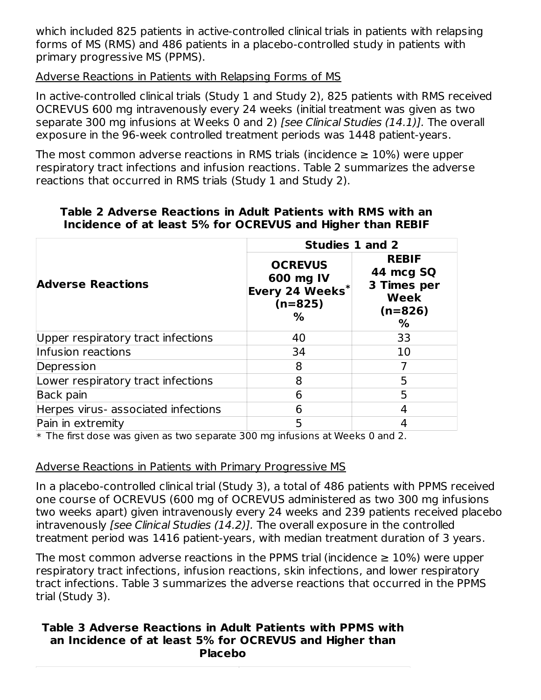which included 825 patients in active-controlled clinical trials in patients with relapsing forms of MS (RMS) and 486 patients in a placebo-controlled study in patients with primary progressive MS (PPMS).

### Adverse Reactions in Patients with Relapsing Forms of MS

In active-controlled clinical trials (Study 1 and Study 2), 825 patients with RMS received OCREVUS 600 mg intravenously every 24 weeks (initial treatment was given as two separate 300 mg infusions at Weeks 0 and 2) [see Clinical Studies (14.1)]. The overall exposure in the 96-week controlled treatment periods was 1448 patient-years.

The most common adverse reactions in RMS trials (incidence  $\geq 10\%$ ) were upper respiratory tract infections and infusion reactions. Table 2 summarizes the adverse reactions that occurred in RMS trials (Study 1 and Study 2).

|                                     | Studies 1 and 2                                                  |                                                                    |
|-------------------------------------|------------------------------------------------------------------|--------------------------------------------------------------------|
| <b>Adverse Reactions</b>            | <b>OCREVUS</b><br>600 mg IV<br>Every 24 Weeks*<br>$(n=825)$<br>% | <b>REBIF</b><br>44 mcg SQ<br>3 Times per<br>Week<br>$(n=826)$<br>% |
| Upper respiratory tract infections  | 40                                                               | 33                                                                 |
| Infusion reactions                  | 34                                                               | 10                                                                 |
| Depression                          | 8                                                                |                                                                    |
| Lower respiratory tract infections  | 8                                                                | 5                                                                  |
| Back pain                           | 6                                                                | 5                                                                  |
| Herpes virus- associated infections | 6                                                                | 4                                                                  |
| Pain in extremity                   | 5                                                                |                                                                    |

#### **Table 2 Adverse Reactions in Adult Patients with RMS with an Incidence of at least 5% for OCREVUS and Higher than REBIF**

 $\ast$  The first dose was given as two separate 300 mg infusions at Weeks 0 and 2.

#### Adverse Reactions in Patients with Primary Progressive MS

In a placebo-controlled clinical trial (Study 3), a total of 486 patients with PPMS received one course of OCREVUS (600 mg of OCREVUS administered as two 300 mg infusions two weeks apart) given intravenously every 24 weeks and 239 patients received placebo intravenously [see Clinical Studies (14.2)]. The overall exposure in the controlled treatment period was 1416 patient-years, with median treatment duration of 3 years.

The most common adverse reactions in the PPMS trial (incidence  $\geq 10\%$ ) were upper respiratory tract infections, infusion reactions, skin infections, and lower respiratory tract infections. Table 3 summarizes the adverse reactions that occurred in the PPMS trial (Study 3).

#### **Table 3 Adverse Reactions in Adult Patients with PPMS with an Incidence of at least 5% for OCREVUS and Higher than Placebo**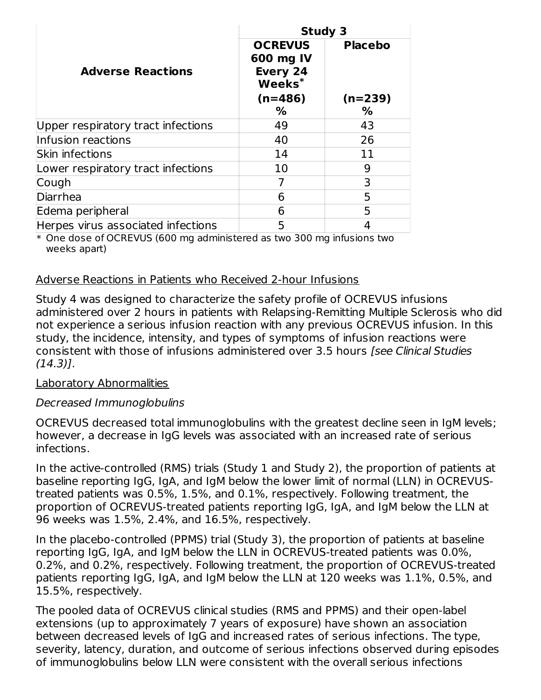|                                    | <b>Study 3</b>                                                                  |                                  |
|------------------------------------|---------------------------------------------------------------------------------|----------------------------------|
| <b>Adverse Reactions</b>           | <b>OCREVUS</b><br>600 mg IV<br>Every 24<br>$\mathbf{Weeks}^*$<br>$(n=486)$<br>% | <b>Placebo</b><br>$(n=239)$<br>% |
| Upper respiratory tract infections | 49                                                                              | 43                               |
| Infusion reactions                 | 40                                                                              | 26                               |
| Skin infections                    | 14                                                                              | 11                               |
| Lower respiratory tract infections | 10                                                                              | 9                                |
| Cough                              |                                                                                 | 3                                |
| Diarrhea                           | 6                                                                               | 5                                |
| Edema peripheral                   | 6                                                                               | 5                                |
| Herpes virus associated infections | 5                                                                               | 4                                |

\* One dose of OCREVUS (600 mg administered as two 300 mg infusions two weeks apart)

### Adverse Reactions in Patients who Received 2-hour Infusions

Study 4 was designed to characterize the safety profile of OCREVUS infusions administered over 2 hours in patients with Relapsing-Remitting Multiple Sclerosis who did not experience a serious infusion reaction with any previous OCREVUS infusion. In this study, the incidence, intensity, and types of symptoms of infusion reactions were consistent with those of infusions administered over 3.5 hours [see Clinical Studies (14.3)].

### Laboratory Abnormalities

### Decreased Immunoglobulins

OCREVUS decreased total immunoglobulins with the greatest decline seen in IgM levels; however, a decrease in IgG levels was associated with an increased rate of serious infections.

In the active-controlled (RMS) trials (Study 1 and Study 2), the proportion of patients at baseline reporting IgG, IgA, and IgM below the lower limit of normal (LLN) in OCREVUStreated patients was 0.5%, 1.5%, and 0.1%, respectively. Following treatment, the proportion of OCREVUS-treated patients reporting IgG, IgA, and IgM below the LLN at 96 weeks was 1.5%, 2.4%, and 16.5%, respectively.

In the placebo-controlled (PPMS) trial (Study 3), the proportion of patients at baseline reporting IgG, IgA, and IgM below the LLN in OCREVUS-treated patients was 0.0%, 0.2%, and 0.2%, respectively. Following treatment, the proportion of OCREVUS-treated patients reporting IgG, IgA, and IgM below the LLN at 120 weeks was 1.1%, 0.5%, and 15.5%, respectively.

The pooled data of OCREVUS clinical studies (RMS and PPMS) and their open-label extensions (up to approximately 7 years of exposure) have shown an association between decreased levels of IgG and increased rates of serious infections. The type, severity, latency, duration, and outcome of serious infections observed during episodes of immunoglobulins below LLN were consistent with the overall serious infections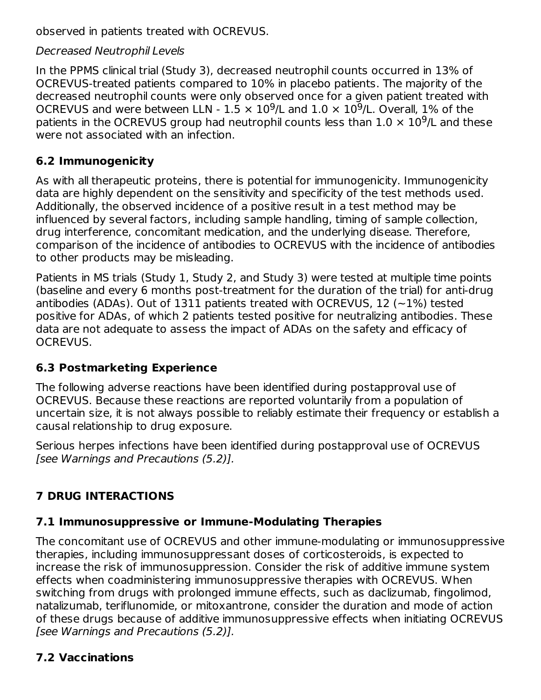observed in patients treated with OCREVUS.

### Decreased Neutrophil Levels

In the PPMS clinical trial (Study 3), decreased neutrophil counts occurred in 13% of OCREVUS-treated patients compared to 10% in placebo patients. The majority of the decreased neutrophil counts were only observed once for a given patient treated with OCREVUS and were between LLN -  $1.5 \times 10^9$ /L and  $1.0 \times 10^9$ /L. Overall, 1% of the patients in the OCREVUS group had neutrophil counts less than  $1.0 \times 10^9$ /L and these were not associated with an infection.

## **6.2 Immunogenicity**

As with all therapeutic proteins, there is potential for immunogenicity. Immunogenicity data are highly dependent on the sensitivity and specificity of the test methods used. Additionally, the observed incidence of a positive result in a test method may be influenced by several factors, including sample handling, timing of sample collection, drug interference, concomitant medication, and the underlying disease. Therefore, comparison of the incidence of antibodies to OCREVUS with the incidence of antibodies to other products may be misleading.

Patients in MS trials (Study 1, Study 2, and Study 3) were tested at multiple time points (baseline and every 6 months post-treatment for the duration of the trial) for anti-drug antibodies (ADAs). Out of 1311 patients treated with OCREVUS, 12  $(-1%)$  tested positive for ADAs, of which 2 patients tested positive for neutralizing antibodies. These data are not adequate to assess the impact of ADAs on the safety and efficacy of OCREVUS.

# **6.3 Postmarketing Experience**

The following adverse reactions have been identified during postapproval use of OCREVUS. Because these reactions are reported voluntarily from a population of uncertain size, it is not always possible to reliably estimate their frequency or establish a causal relationship to drug exposure.

Serious herpes infections have been identified during postapproval use of OCREVUS [see Warnings and Precautions (5.2)].

# **7 DRUG INTERACTIONS**

# **7.1 Immunosuppressive or Immune-Modulating Therapies**

The concomitant use of OCREVUS and other immune-modulating or immunosuppressive therapies, including immunosuppressant doses of corticosteroids, is expected to increase the risk of immunosuppression. Consider the risk of additive immune system effects when coadministering immunosuppressive therapies with OCREVUS. When switching from drugs with prolonged immune effects, such as daclizumab, fingolimod, natalizumab, teriflunomide, or mitoxantrone, consider the duration and mode of action of these drugs because of additive immunosuppressive effects when initiating OCREVUS [see Warnings and Precautions (5.2)].

# **7.2 Vaccinations**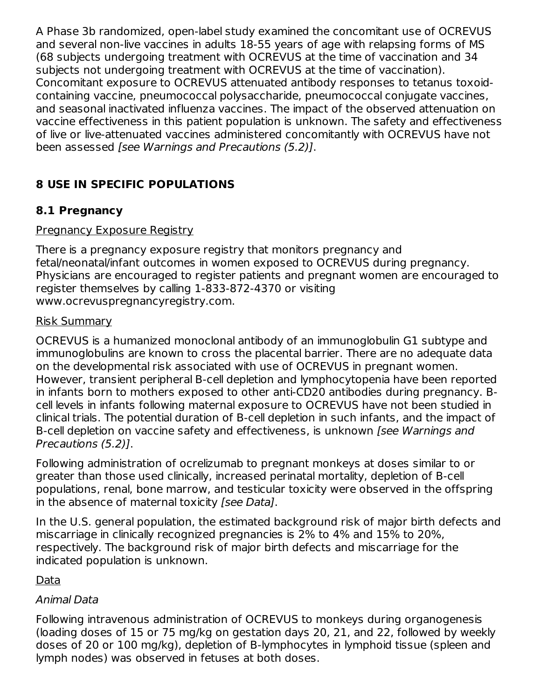A Phase 3b randomized, open-label study examined the concomitant use of OCREVUS and several non-live vaccines in adults 18-55 years of age with relapsing forms of MS (68 subjects undergoing treatment with OCREVUS at the time of vaccination and 34 subjects not undergoing treatment with OCREVUS at the time of vaccination). Concomitant exposure to OCREVUS attenuated antibody responses to tetanus toxoidcontaining vaccine, pneumococcal polysaccharide, pneumococcal conjugate vaccines, and seasonal inactivated influenza vaccines. The impact of the observed attenuation on vaccine effectiveness in this patient population is unknown. The safety and effectiveness of live or live-attenuated vaccines administered concomitantly with OCREVUS have not been assessed [see Warnings and Precautions (5.2)].

# **8 USE IN SPECIFIC POPULATIONS**

# **8.1 Pregnancy**

### Pregnancy Exposure Registry

There is a pregnancy exposure registry that monitors pregnancy and fetal/neonatal/infant outcomes in women exposed to OCREVUS during pregnancy. Physicians are encouraged to register patients and pregnant women are encouraged to register themselves by calling 1-833-872-4370 or visiting www.ocrevuspregnancyregistry.com.

### Risk Summary

OCREVUS is a humanized monoclonal antibody of an immunoglobulin G1 subtype and immunoglobulins are known to cross the placental barrier. There are no adequate data on the developmental risk associated with use of OCREVUS in pregnant women. However, transient peripheral B-cell depletion and lymphocytopenia have been reported in infants born to mothers exposed to other anti-CD20 antibodies during pregnancy. Bcell levels in infants following maternal exposure to OCREVUS have not been studied in clinical trials. The potential duration of B-cell depletion in such infants, and the impact of B-cell depletion on vaccine safety and effectiveness, is unknown *[see Warnings and* Precautions (5.2)].

Following administration of ocrelizumab to pregnant monkeys at doses similar to or greater than those used clinically, increased perinatal mortality, depletion of B-cell populations, renal, bone marrow, and testicular toxicity were observed in the offspring in the absence of maternal toxicity [see Data].

In the U.S. general population, the estimated background risk of major birth defects and miscarriage in clinically recognized pregnancies is 2% to 4% and 15% to 20%, respectively. The background risk of major birth defects and miscarriage for the indicated population is unknown.

## Data

## Animal Data

Following intravenous administration of OCREVUS to monkeys during organogenesis (loading doses of 15 or 75 mg/kg on gestation days 20, 21, and 22, followed by weekly doses of 20 or 100 mg/kg), depletion of B-lymphocytes in lymphoid tissue (spleen and lymph nodes) was observed in fetuses at both doses.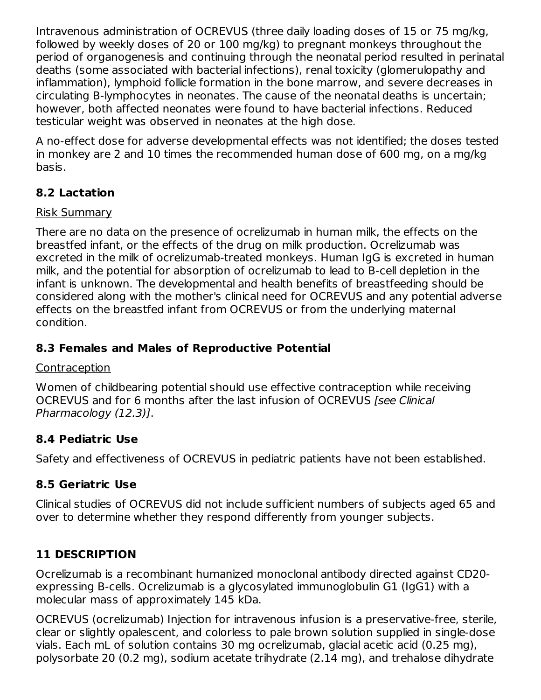Intravenous administration of OCREVUS (three daily loading doses of 15 or 75 mg/kg, followed by weekly doses of 20 or 100 mg/kg) to pregnant monkeys throughout the period of organogenesis and continuing through the neonatal period resulted in perinatal deaths (some associated with bacterial infections), renal toxicity (glomerulopathy and inflammation), lymphoid follicle formation in the bone marrow, and severe decreases in circulating B-lymphocytes in neonates. The cause of the neonatal deaths is uncertain; however, both affected neonates were found to have bacterial infections. Reduced testicular weight was observed in neonates at the high dose.

A no-effect dose for adverse developmental effects was not identified; the doses tested in monkey are 2 and 10 times the recommended human dose of 600 mg, on a mg/kg basis.

# **8.2 Lactation**

### Risk Summary

There are no data on the presence of ocrelizumab in human milk, the effects on the breastfed infant, or the effects of the drug on milk production. Ocrelizumab was excreted in the milk of ocrelizumab-treated monkeys. Human IgG is excreted in human milk, and the potential for absorption of ocrelizumab to lead to B-cell depletion in the infant is unknown. The developmental and health benefits of breastfeeding should be considered along with the mother's clinical need for OCREVUS and any potential adverse effects on the breastfed infant from OCREVUS or from the underlying maternal condition.

## **8.3 Females and Males of Reproductive Potential**

### Contraception

Women of childbearing potential should use effective contraception while receiving OCREVUS and for 6 months after the last infusion of OCREVUS [see Clinical] Pharmacology (12.3)].

## **8.4 Pediatric Use**

Safety and effectiveness of OCREVUS in pediatric patients have not been established.

# **8.5 Geriatric Use**

Clinical studies of OCREVUS did not include sufficient numbers of subjects aged 65 and over to determine whether they respond differently from younger subjects.

# **11 DESCRIPTION**

Ocrelizumab is a recombinant humanized monoclonal antibody directed against CD20 expressing B-cells. Ocrelizumab is a glycosylated immunoglobulin G1 (IgG1) with a molecular mass of approximately 145 kDa.

OCREVUS (ocrelizumab) Injection for intravenous infusion is a preservative-free, sterile, clear or slightly opalescent, and colorless to pale brown solution supplied in single-dose vials. Each mL of solution contains 30 mg ocrelizumab, glacial acetic acid (0.25 mg), polysorbate 20 (0.2 mg), sodium acetate trihydrate (2.14 mg), and trehalose dihydrate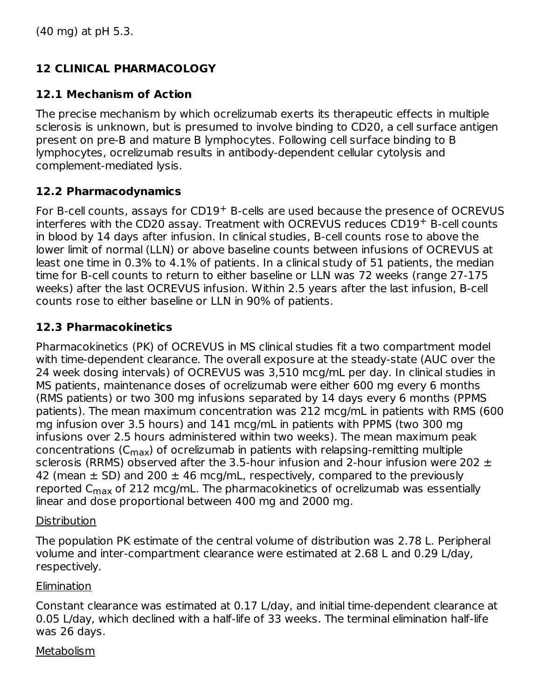# **12 CLINICAL PHARMACOLOGY**

## **12.1 Mechanism of Action**

The precise mechanism by which ocrelizumab exerts its therapeutic effects in multiple sclerosis is unknown, but is presumed to involve binding to CD20, a cell surface antigen present on pre-B and mature B lymphocytes. Following cell surface binding to B lymphocytes, ocrelizumab results in antibody-dependent cellular cytolysis and complement-mediated lysis.

## **12.2 Pharmacodynamics**

For B-cell counts, assays for  $CD19<sup>+</sup>$  B-cells are used because the presence of OCREVUS interferes with the CD20 assay. Treatment with OCREVUS reduces  $CD19<sup>+</sup>$  B-cell counts in blood by 14 days after infusion. In clinical studies, B-cell counts rose to above the lower limit of normal (LLN) or above baseline counts between infusions of OCREVUS at least one time in 0.3% to 4.1% of patients. In a clinical study of 51 patients, the median time for B-cell counts to return to either baseline or LLN was 72 weeks (range 27-175 weeks) after the last OCREVUS infusion. Within 2.5 years after the last infusion, B-cell counts rose to either baseline or LLN in 90% of patients.

## **12.3 Pharmacokinetics**

Pharmacokinetics (PK) of OCREVUS in MS clinical studies fit a two compartment model with time-dependent clearance. The overall exposure at the steady-state (AUC over the 24 week dosing intervals) of OCREVUS was 3,510 mcg/mL per day. In clinical studies in MS patients, maintenance doses of ocrelizumab were either 600 mg every 6 months (RMS patients) or two 300 mg infusions separated by 14 days every 6 months (PPMS patients). The mean maximum concentration was 212 mcg/mL in patients with RMS (600 mg infusion over 3.5 hours) and 141 mcg/mL in patients with PPMS (two 300 mg infusions over 2.5 hours administered within two weeks). The mean maximum peak concentrations (C<sub>max</sub>) of ocrelizumab in patients with relapsing-remitting multiple sclerosis (RRMS) observed after the 3.5-hour infusion and 2-hour infusion were 202  $\pm$ 42 (mean  $\pm$  SD) and 200  $\pm$  46 mcg/mL, respectively, compared to the previously reported C<sub>max</sub> of 212 mcg/mL. The pharmacokinetics of ocrelizumab was essentially linear and dose proportional between 400 mg and 2000 mg.

### **Distribution**

The population PK estimate of the central volume of distribution was 2.78 L. Peripheral volume and inter-compartment clearance were estimated at 2.68 L and 0.29 L/day, respectively.

## **Elimination**

Constant clearance was estimated at 0.17 L/day, and initial time-dependent clearance at 0.05 L/day, which declined with a half-life of 33 weeks. The terminal elimination half-life was 26 days.

### **Metabolism**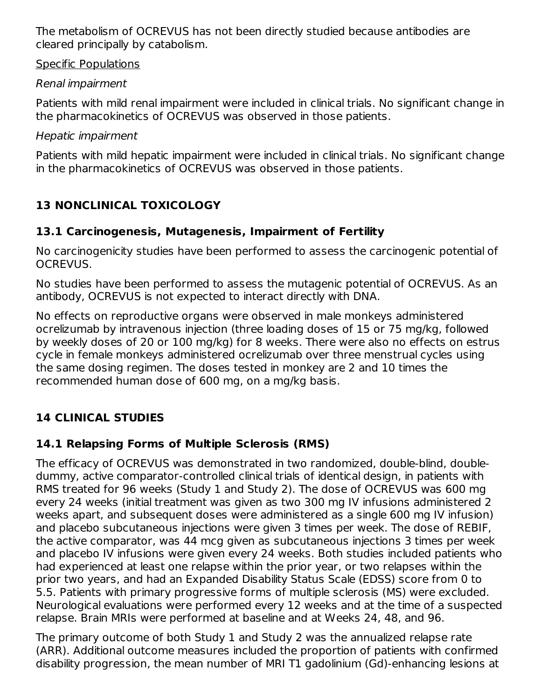The metabolism of OCREVUS has not been directly studied because antibodies are cleared principally by catabolism.

Specific Populations

## Renal impairment

Patients with mild renal impairment were included in clinical trials. No significant change in the pharmacokinetics of OCREVUS was observed in those patients.

### Hepatic impairment

Patients with mild hepatic impairment were included in clinical trials. No significant change in the pharmacokinetics of OCREVUS was observed in those patients.

# **13 NONCLINICAL TOXICOLOGY**

# **13.1 Carcinogenesis, Mutagenesis, Impairment of Fertility**

No carcinogenicity studies have been performed to assess the carcinogenic potential of OCREVUS.

No studies have been performed to assess the mutagenic potential of OCREVUS. As an antibody, OCREVUS is not expected to interact directly with DNA.

No effects on reproductive organs were observed in male monkeys administered ocrelizumab by intravenous injection (three loading doses of 15 or 75 mg/kg, followed by weekly doses of 20 or 100 mg/kg) for 8 weeks. There were also no effects on estrus cycle in female monkeys administered ocrelizumab over three menstrual cycles using the same dosing regimen. The doses tested in monkey are 2 and 10 times the recommended human dose of 600 mg, on a mg/kg basis.

# **14 CLINICAL STUDIES**

# **14.1 Relapsing Forms of Multiple Sclerosis (RMS)**

The efficacy of OCREVUS was demonstrated in two randomized, double-blind, doubledummy, active comparator-controlled clinical trials of identical design, in patients with RMS treated for 96 weeks (Study 1 and Study 2). The dose of OCREVUS was 600 mg every 24 weeks (initial treatment was given as two 300 mg IV infusions administered 2 weeks apart, and subsequent doses were administered as a single 600 mg IV infusion) and placebo subcutaneous injections were given 3 times per week. The dose of REBIF, the active comparator, was 44 mcg given as subcutaneous injections 3 times per week and placebo IV infusions were given every 24 weeks. Both studies included patients who had experienced at least one relapse within the prior year, or two relapses within the prior two years, and had an Expanded Disability Status Scale (EDSS) score from 0 to 5.5. Patients with primary progressive forms of multiple sclerosis (MS) were excluded. Neurological evaluations were performed every 12 weeks and at the time of a suspected relapse. Brain MRIs were performed at baseline and at Weeks 24, 48, and 96.

The primary outcome of both Study 1 and Study 2 was the annualized relapse rate (ARR). Additional outcome measures included the proportion of patients with confirmed disability progression, the mean number of MRI T1 gadolinium (Gd)-enhancing lesions at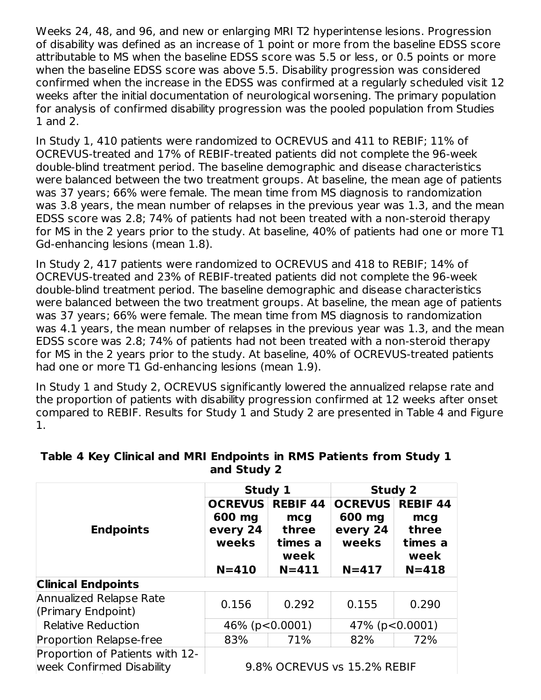Weeks 24, 48, and 96, and new or enlarging MRI T2 hyperintense lesions. Progression of disability was defined as an increase of 1 point or more from the baseline EDSS score attributable to MS when the baseline EDSS score was 5.5 or less, or 0.5 points or more when the baseline EDSS score was above 5.5. Disability progression was considered confirmed when the increase in the EDSS was confirmed at a regularly scheduled visit 12 weeks after the initial documentation of neurological worsening. The primary population for analysis of confirmed disability progression was the pooled population from Studies 1 and 2.

In Study 1, 410 patients were randomized to OCREVUS and 411 to REBIF; 11% of OCREVUS-treated and 17% of REBIF-treated patients did not complete the 96-week double-blind treatment period. The baseline demographic and disease characteristics were balanced between the two treatment groups. At baseline, the mean age of patients was 37 years; 66% were female. The mean time from MS diagnosis to randomization was 3.8 years, the mean number of relapses in the previous year was 1.3, and the mean EDSS score was 2.8; 74% of patients had not been treated with a non-steroid therapy for MS in the 2 years prior to the study. At baseline, 40% of patients had one or more T1 Gd-enhancing lesions (mean 1.8).

In Study 2, 417 patients were randomized to OCREVUS and 418 to REBIF; 14% of OCREVUS-treated and 23% of REBIF-treated patients did not complete the 96-week double-blind treatment period. The baseline demographic and disease characteristics were balanced between the two treatment groups. At baseline, the mean age of patients was 37 years; 66% were female. The mean time from MS diagnosis to randomization was 4.1 years, the mean number of relapses in the previous year was 1.3, and the mean EDSS score was 2.8; 74% of patients had not been treated with a non-steroid therapy for MS in the 2 years prior to the study. At baseline, 40% of OCREVUS-treated patients had one or more T1 Gd-enhancing lesions (mean 1.9).

In Study 1 and Study 2, OCREVUS significantly lowered the annualized relapse rate and the proportion of patients with disability progression confirmed at 12 weeks after onset compared to REBIF. Results for Study 1 and Study 2 are presented in Table 4 and Figure 1.

|                                                              | Study 1                                       |                                                    | <b>Study 2</b>                                |                                                    |
|--------------------------------------------------------------|-----------------------------------------------|----------------------------------------------------|-----------------------------------------------|----------------------------------------------------|
| <b>Endpoints</b>                                             | <b>OCREVUS</b><br>600 mg<br>every 24<br>weeks | <b>REBIF 44</b><br>mcg<br>three<br>times a<br>week | <b>OCREVUS</b><br>600 mg<br>every 24<br>weeks | <b>REBIF 44</b><br>mcg<br>three<br>times a<br>week |
|                                                              | $N = 410$                                     | $N = 411$                                          | $N = 417$                                     | $N = 418$                                          |
| <b>Clinical Endpoints</b>                                    |                                               |                                                    |                                               |                                                    |
| Annualized Relapse Rate<br>(Primary Endpoint)                | 0.156                                         | 0.292                                              | 0.155                                         | 0.290                                              |
| <b>Relative Reduction</b>                                    | 46% ( $p < 0.0001$ )                          |                                                    | 47% (p<0.0001)                                |                                                    |
| <b>Proportion Relapse-free</b>                               | 83%                                           | 71%                                                | 82%                                           | 72%                                                |
| Proportion of Patients with 12-<br>week Confirmed Disability |                                               |                                                    | 9.8% OCREVUS vs 15.2% REBIF                   |                                                    |

#### **Table 4 Key Clinical and MRI Endpoints in RMS Patients from Study 1 and Study 2**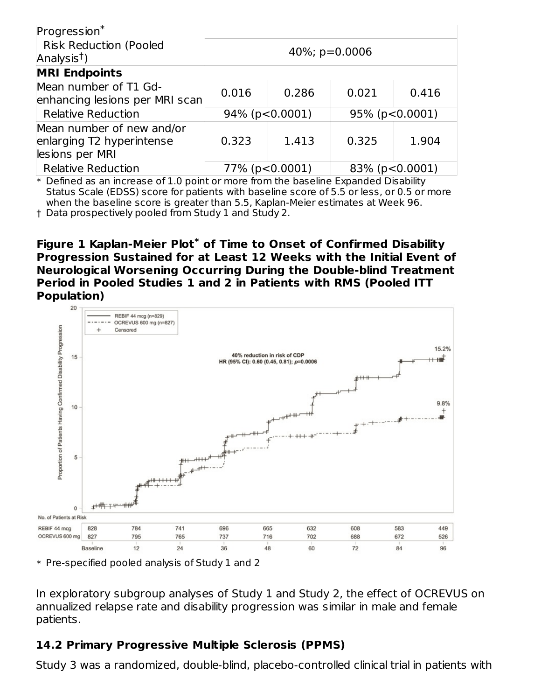| Progression*                                                              |       |                        |                 |                        |
|---------------------------------------------------------------------------|-------|------------------------|-----------------|------------------------|
| <b>Risk Reduction (Pooled</b><br>Analysis <sup>†</sup> )                  |       |                        | 40%; $p=0.0006$ |                        |
| <b>MRI Endpoints</b>                                                      |       |                        |                 |                        |
| Mean number of T1 Gd-<br>enhancing lesions per MRI scan                   | 0.016 | 0.286                  | 0.021           | 0.416                  |
| <b>Relative Reduction</b>                                                 |       | $94\%$ (p < 0.0001)    |                 | $95\%$ (p < 0.0001)    |
| Mean number of new and/or<br>enlarging T2 hyperintense<br>lesions per MRI | 0.323 | 1.413                  | 0.325           | 1.904                  |
| <b>Relative Reduction</b>                                                 |       | $77\%$ (p $< 0.0001$ ) |                 | $83\%$ (p $< 0.0001$ ) |

 $\ast$  Defined as an increase of 1.0 point or more from the baseline Expanded Disability Status Scale (EDSS) score for patients with baseline score of 5.5 or less, or 0.5 or more when the baseline score is greater than 5.5, Kaplan-Meier estimates at Week 96.

† Data prospectively pooled from Study 1 and Study 2.

#### **Figure 1 Kaplan-Meier Plot<sup>\*</sup> of Time to Onset of Confirmed Disability Progression Sustained for at Least 12 Weeks with the Initial Event of Neurological Worsening Occurring During the Double-blind Treatment Period in Pooled Studies 1 and 2 in Patients with RMS (Pooled ITT Population)**



\* Pre-specified pooled analysis of Study 1 and 2

In exploratory subgroup analyses of Study 1 and Study 2, the effect of OCREVUS on annualized relapse rate and disability progression was similar in male and female patients.

# **14.2 Primary Progressive Multiple Sclerosis (PPMS)**

Study 3 was a randomized, double-blind, placebo-controlled clinical trial in patients with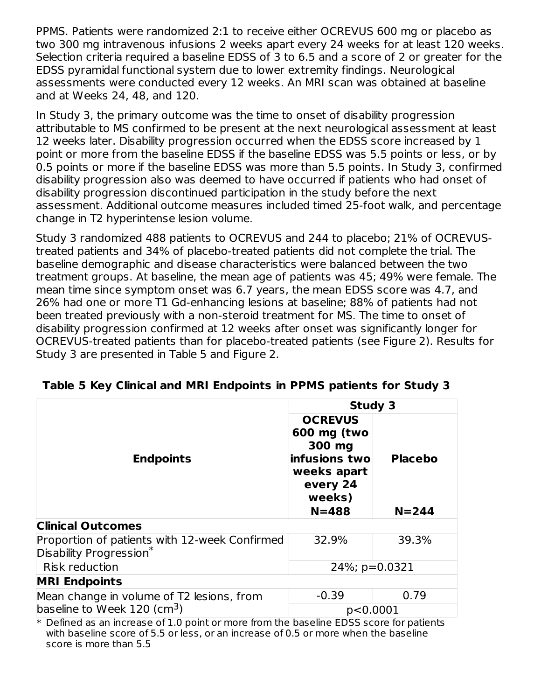PPMS. Patients were randomized 2:1 to receive either OCREVUS 600 mg or placebo as two 300 mg intravenous infusions 2 weeks apart every 24 weeks for at least 120 weeks. Selection criteria required a baseline EDSS of 3 to 6.5 and a score of 2 or greater for the EDSS pyramidal functional system due to lower extremity findings. Neurological assessments were conducted every 12 weeks. An MRI scan was obtained at baseline and at Weeks 24, 48, and 120.

In Study 3, the primary outcome was the time to onset of disability progression attributable to MS confirmed to be present at the next neurological assessment at least 12 weeks later. Disability progression occurred when the EDSS score increased by 1 point or more from the baseline EDSS if the baseline EDSS was 5.5 points or less, or by 0.5 points or more if the baseline EDSS was more than 5.5 points. In Study 3, confirmed disability progression also was deemed to have occurred if patients who had onset of disability progression discontinued participation in the study before the next assessment. Additional outcome measures included timed 25-foot walk, and percentage change in T2 hyperintense lesion volume.

Study 3 randomized 488 patients to OCREVUS and 244 to placebo; 21% of OCREVUStreated patients and 34% of placebo-treated patients did not complete the trial. The baseline demographic and disease characteristics were balanced between the two treatment groups. At baseline, the mean age of patients was 45; 49% were female. The mean time since symptom onset was 6.7 years, the mean EDSS score was 4.7, and 26% had one or more T1 Gd-enhancing lesions at baseline; 88% of patients had not been treated previously with a non-steroid treatment for MS. The time to onset of disability progression confirmed at 12 weeks after onset was significantly longer for OCREVUS-treated patients than for placebo-treated patients (see Figure 2). Results for Study 3 are presented in Table 5 and Figure 2.

|                                                                                           | <b>Study 3</b>                                                                                             |                             |
|-------------------------------------------------------------------------------------------|------------------------------------------------------------------------------------------------------------|-----------------------------|
| <b>Endpoints</b>                                                                          | <b>OCREVUS</b><br>600 mg (two<br>300 mg<br>infusions two<br>weeks apart<br>every 24<br>weeks)<br>$N = 488$ | <b>Placebo</b><br>$N = 244$ |
|                                                                                           |                                                                                                            |                             |
| <b>Clinical Outcomes</b>                                                                  |                                                                                                            |                             |
| Proportion of patients with 12-week Confirmed<br>Disability Progression*                  | 32.9%                                                                                                      | 39.3%                       |
| <b>Risk reduction</b>                                                                     | $24\%$ ; p=0.0321                                                                                          |                             |
| <b>MRI Endpoints</b>                                                                      |                                                                                                            |                             |
| Mean change in volume of T2 lesions, from                                                 | $-0.39$                                                                                                    | 0.79                        |
| baseline to Week $120$ (cm <sup>3</sup> )                                                 | p<0.0001                                                                                                   |                             |
| $*$ Defined as an increase of 1.0 point or more from the baseline EDSS score for patients |                                                                                                            |                             |

#### **Table 5 Key Clinical and MRI Endpoints in PPMS patients for Study 3**

\* Defined as an increase of 1.0 point or more from the baseline EDSS score for patients with baseline score of 5.5 or less, or an increase of 0.5 or more when the baseline score is more than 5.5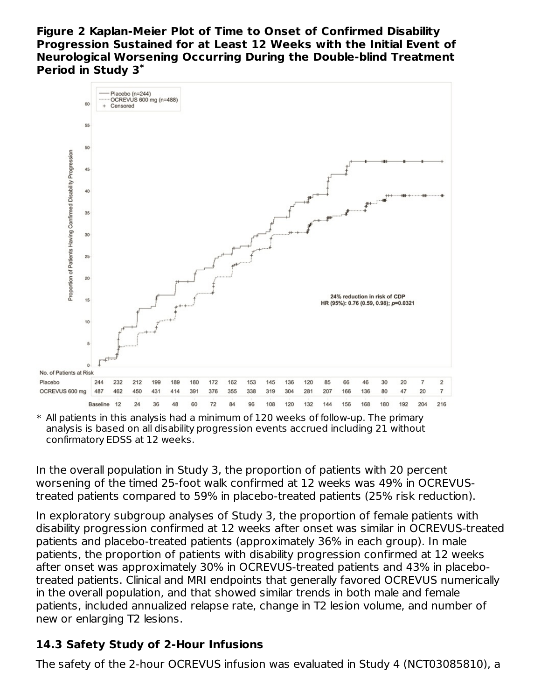**Figure 2 Kaplan-Meier Plot of Time to Onset of Confirmed Disability Progression Sustained for at Least 12 Weeks with the Initial Event of Neurological Worsening Occurring During the Double-blind Treatment Period in Study 3 \***



\* All patients in this analysis had a minimum of 120 weeks of follow-up. The primary analysis is based on all disability progression events accrued including 21 without confirmatory EDSS at 12 weeks.

In the overall population in Study 3, the proportion of patients with 20 percent worsening of the timed 25-foot walk confirmed at 12 weeks was 49% in OCREVUStreated patients compared to 59% in placebo-treated patients (25% risk reduction).

In exploratory subgroup analyses of Study 3, the proportion of female patients with disability progression confirmed at 12 weeks after onset was similar in OCREVUS-treated patients and placebo-treated patients (approximately 36% in each group). In male patients, the proportion of patients with disability progression confirmed at 12 weeks after onset was approximately 30% in OCREVUS-treated patients and 43% in placebotreated patients. Clinical and MRI endpoints that generally favored OCREVUS numerically in the overall population, and that showed similar trends in both male and female patients, included annualized relapse rate, change in T2 lesion volume, and number of new or enlarging T2 lesions.

# **14.3 Safety Study of 2-Hour Infusions**

The safety of the 2-hour OCREVUS infusion was evaluated in Study 4 (NCT03085810), a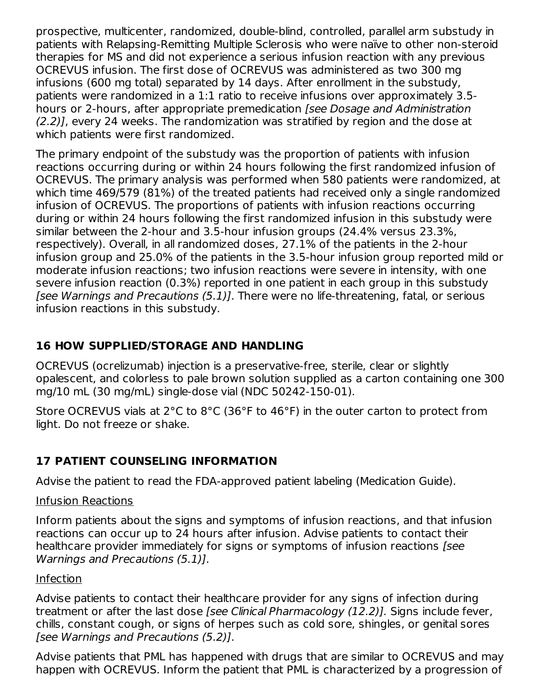prospective, multicenter, randomized, double-blind, controlled, parallel arm substudy in patients with Relapsing-Remitting Multiple Sclerosis who were naïve to other non-steroid therapies for MS and did not experience a serious infusion reaction with any previous OCREVUS infusion. The first dose of OCREVUS was administered as two 300 mg infusions (600 mg total) separated by 14 days. After enrollment in the substudy, patients were randomized in a 1:1 ratio to receive infusions over approximately 3.5 hours or 2-hours, after appropriate premedication [see Dosage and Administration (2.2)], every 24 weeks. The randomization was stratified by region and the dose at which patients were first randomized.

The primary endpoint of the substudy was the proportion of patients with infusion reactions occurring during or within 24 hours following the first randomized infusion of OCREVUS. The primary analysis was performed when 580 patients were randomized, at which time 469/579 (81%) of the treated patients had received only a single randomized infusion of OCREVUS. The proportions of patients with infusion reactions occurring during or within 24 hours following the first randomized infusion in this substudy were similar between the 2-hour and 3.5-hour infusion groups (24.4% versus 23.3%, respectively). Overall, in all randomized doses, 27.1% of the patients in the 2-hour infusion group and 25.0% of the patients in the 3.5-hour infusion group reported mild or moderate infusion reactions; two infusion reactions were severe in intensity, with one severe infusion reaction (0.3%) reported in one patient in each group in this substudy [see Warnings and Precautions (5.1)]. There were no life-threatening, fatal, or serious infusion reactions in this substudy.

## **16 HOW SUPPLIED/STORAGE AND HANDLING**

OCREVUS (ocrelizumab) injection is a preservative-free, sterile, clear or slightly opalescent, and colorless to pale brown solution supplied as a carton containing one 300 mg/10 mL (30 mg/mL) single-dose vial (NDC 50242-150-01).

Store OCREVUS vials at 2°C to 8°C (36°F to 46°F) in the outer carton to protect from light. Do not freeze or shake.

## **17 PATIENT COUNSELING INFORMATION**

Advise the patient to read the FDA-approved patient labeling (Medication Guide).

### Infusion Reactions

Inform patients about the signs and symptoms of infusion reactions, and that infusion reactions can occur up to 24 hours after infusion. Advise patients to contact their healthcare provider immediately for signs or symptoms of infusion reactions [see Warnings and Precautions (5.1)].

### Infection

Advise patients to contact their healthcare provider for any signs of infection during treatment or after the last dose [see Clinical Pharmacology (12.2)]. Signs include fever, chills, constant cough, or signs of herpes such as cold sore, shingles, or genital sores [see Warnings and Precautions (5.2)].

Advise patients that PML has happened with drugs that are similar to OCREVUS and may happen with OCREVUS. Inform the patient that PML is characterized by a progression of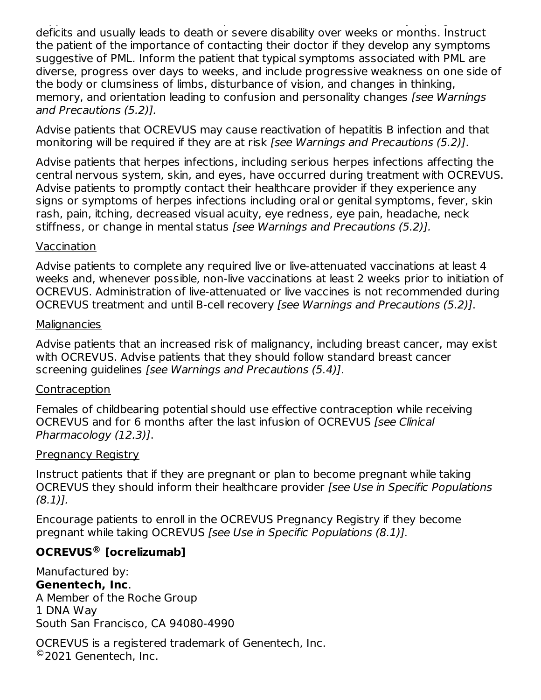happen with OCREVUS. Inform the patient that PML is characterized by a progression of deficits and usually leads to death or severe disability over weeks or months. Instruct the patient of the importance of contacting their doctor if they develop any symptoms suggestive of PML. Inform the patient that typical symptoms associated with PML are diverse, progress over days to weeks, and include progressive weakness on one side of the body or clumsiness of limbs, disturbance of vision, and changes in thinking, memory, and orientation leading to confusion and personality changes [see Warnings and Precautions (5.2)].

Advise patients that OCREVUS may cause reactivation of hepatitis B infection and that monitoring will be required if they are at risk [see Warnings and Precautions (5.2)].

Advise patients that herpes infections, including serious herpes infections affecting the central nervous system, skin, and eyes, have occurred during treatment with OCREVUS. Advise patients to promptly contact their healthcare provider if they experience any signs or symptoms of herpes infections including oral or genital symptoms, fever, skin rash, pain, itching, decreased visual acuity, eye redness, eye pain, headache, neck stiffness, or change in mental status [see Warnings and Precautions (5.2)].

#### Vaccination

Advise patients to complete any required live or live-attenuated vaccinations at least 4 weeks and, whenever possible, non-live vaccinations at least 2 weeks prior to initiation of OCREVUS. Administration of live-attenuated or live vaccines is not recommended during OCREVUS treatment and until B-cell recovery [see Warnings and Precautions (5.2)].

#### **Malignancies**

Advise patients that an increased risk of malignancy, including breast cancer, may exist with OCREVUS. Advise patients that they should follow standard breast cancer screening quidelines [see Warnings and Precautions (5.4)].

### Contraception

Females of childbearing potential should use effective contraception while receiving OCREVUS and for 6 months after the last infusion of OCREVUS [see Clinical Pharmacology (12.3)].

### Pregnancy Registry

Instruct patients that if they are pregnant or plan to become pregnant while taking OCREVUS they should inform their healthcare provider [see Use in Specific Populations  $(8.1)$ .

Encourage patients to enroll in the OCREVUS Pregnancy Registry if they become pregnant while taking OCREVUS [see Use in Specific Populations (8.1)].

## **OCREVUS [ocrelizumab] ®**

Manufactured by: **Genentech, Inc**. A Member of the Roche Group 1 DNA Way South San Francisco, CA 94080-4990

OCREVUS is a registered trademark of Genentech, Inc. ©2021 Genentech, Inc.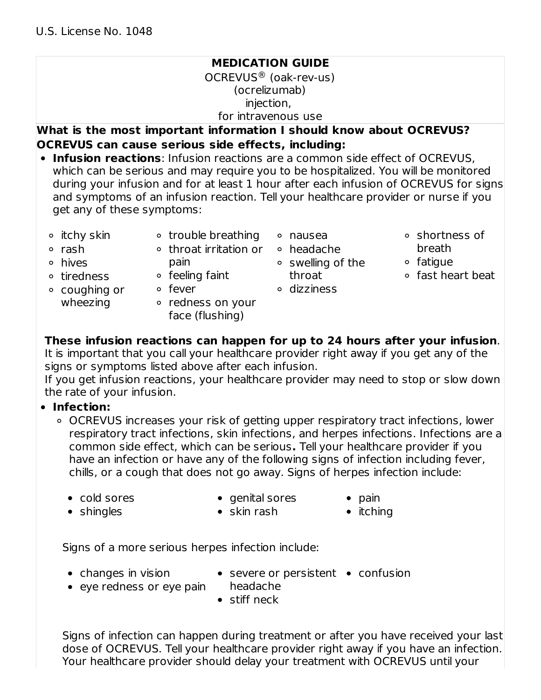# **MEDICATION GUIDE** OCREVUS<sup>®</sup> (oak-rev-us) (ocrelizumab) injection, for intravenous use

**What is the most important information I should know about OCREVUS? OCREVUS can cause serious side effects, including:**

- **Infusion reactions**: Infusion reactions are a common side effect of OCREVUS, which can be serious and may require you to be hospitalized. You will be monitored during your infusion and for at least 1 hour after each infusion of OCREVUS for signs and symptoms of an infusion reaction. Tell your healthcare provider or nurse if you get any of these symptoms:
	- $\circ$  itchy skin
- trouble breathing  $\circ$  throat irritation or
- <sup>o</sup> rash
- hives
- ∘ tiredness
- **o** feeling faint

pain

- coughing or wheezing fever
	- redness on your face (flushing)
- nausea headache
- **o** swelling of the throat
- dizziness
- shortness of breath
- fatigue
- fast heart beat

**These infusion reactions can happen for up to 24 hours after your infusion**.

It is important that you call your healthcare provider right away if you get any of the signs or symptoms listed above after each infusion.

If you get infusion reactions, your healthcare provider may need to stop or slow down the rate of your infusion.

## **Infection:**

- OCREVUS increases your risk of getting upper respiratory tract infections, lower respiratory tract infections, skin infections, and herpes infections. Infections are a common side effect, which can be serious**.** Tell your healthcare provider if you have an infection or have any of the following signs of infection including fever, chills, or a cough that does not go away. Signs of herpes infection include:
	- cold sores
- $\bullet$  genital sores
- $\bullet$  pain

• shingles

- $\bullet$  skin rash
- 
- $\bullet$  itching

Signs of a more serious herpes infection include:

- $\bullet$  changes in vision
- severe or persistent confusion
- eye redness or eye pain headache
- - stiff neck

Signs of infection can happen during treatment or after you have received your last dose of OCREVUS. Tell your healthcare provider right away if you have an infection. Your healthcare provider should delay your treatment with OCREVUS until your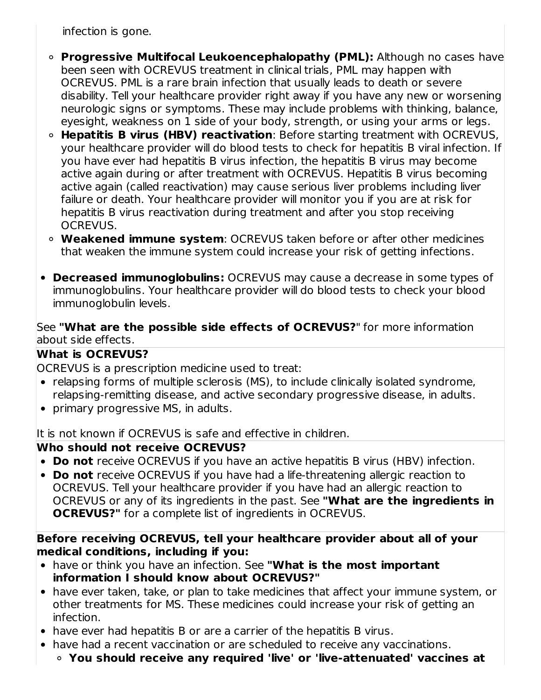infection is gone.

- **Progressive Multifocal Leukoencephalopathy (PML):** Although no cases have been seen with OCREVUS treatment in clinical trials, PML may happen with OCREVUS. PML is a rare brain infection that usually leads to death or severe disability. Tell your healthcare provider right away if you have any new or worsening neurologic signs or symptoms. These may include problems with thinking, balance, eyesight, weakness on 1 side of your body, strength, or using your arms or legs.
- **Hepatitis B virus (HBV) reactivation**: Before starting treatment with OCREVUS, your healthcare provider will do blood tests to check for hepatitis B viral infection. If you have ever had hepatitis B virus infection, the hepatitis B virus may become active again during or after treatment with OCREVUS. Hepatitis B virus becoming active again (called reactivation) may cause serious liver problems including liver failure or death. Your healthcare provider will monitor you if you are at risk for hepatitis B virus reactivation during treatment and after you stop receiving OCREVUS.
- **Weakened immune system**: OCREVUS taken before or after other medicines that weaken the immune system could increase your risk of getting infections.
- **Decreased immunoglobulins:** OCREVUS may cause a decrease in some types of immunoglobulins. Your healthcare provider will do blood tests to check your blood immunoglobulin levels.

### See **"What are the possible side effects of OCREVUS?**" for more information about side effects.

## **What is OCREVUS?**

OCREVUS is a prescription medicine used to treat:

- relapsing forms of multiple sclerosis (MS), to include clinically isolated syndrome, relapsing-remitting disease, and active secondary progressive disease, in adults.
- primary progressive MS, in adults.

It is not known if OCREVUS is safe and effective in children.

## **Who should not receive OCREVUS?**

- **Do not** receive OCREVUS if you have an active hepatitis B virus (HBV) infection.
- **Do not** receive OCREVUS if you have had a life-threatening allergic reaction to OCREVUS. Tell your healthcare provider if you have had an allergic reaction to OCREVUS or any of its ingredients in the past. See **"What are the ingredients in OCREVUS?"** for a complete list of ingredients in OCREVUS.

### **Before receiving OCREVUS, tell your healthcare provider about all of your medical conditions, including if you:**

- have or think you have an infection. See **"What is the most important information I should know about OCREVUS?"**
- have ever taken, take, or plan to take medicines that affect your immune system, or other treatments for MS. These medicines could increase your risk of getting an infection.
- have ever had hepatitis B or are a carrier of the hepatitis B virus.
- have had a recent vaccination or are scheduled to receive any vaccinations.
	- **You should receive any required 'live' or 'live-attenuated' vaccines at**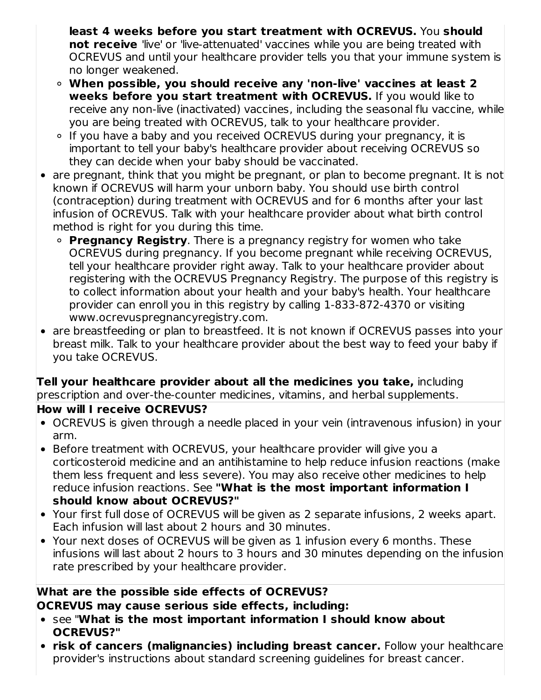**least 4 weeks before you start treatment with OCREVUS.** You **should not receive** 'live' or 'live-attenuated' vaccines while you are being treated with OCREVUS and until your healthcare provider tells you that your immune system is no longer weakened.

- **When possible, you should receive any 'non-live' vaccines at least 2 weeks before you start treatment with OCREVUS.** If you would like to receive any non-live (inactivated) vaccines, including the seasonal flu vaccine, while you are being treated with OCREVUS, talk to your healthcare provider.
- If you have a baby and you received OCREVUS during your pregnancy, it is important to tell your baby's healthcare provider about receiving OCREVUS so they can decide when your baby should be vaccinated.
- are pregnant, think that you might be pregnant, or plan to become pregnant. It is not known if OCREVUS will harm your unborn baby. You should use birth control (contraception) during treatment with OCREVUS and for 6 months after your last infusion of OCREVUS. Talk with your healthcare provider about what birth control method is right for you during this time.
	- **Pregnancy Registry**. There is a pregnancy registry for women who take OCREVUS during pregnancy. If you become pregnant while receiving OCREVUS, tell your healthcare provider right away. Talk to your healthcare provider about registering with the OCREVUS Pregnancy Registry. The purpose of this registry is to collect information about your health and your baby's health. Your healthcare provider can enroll you in this registry by calling 1-833-872-4370 or visiting www.ocrevuspregnancyregistry.com.
- are breastfeeding or plan to breastfeed. It is not known if OCREVUS passes into your breast milk. Talk to your healthcare provider about the best way to feed your baby if you take OCREVUS.

#### **Tell your healthcare provider about all the medicines you take,** including prescription and over-the-counter medicines, vitamins, and herbal supplements. **How will I receive OCREVUS?**

- - OCREVUS is given through a needle placed in your vein (intravenous infusion) in your arm.
- Before treatment with OCREVUS, your healthcare provider will give you a corticosteroid medicine and an antihistamine to help reduce infusion reactions (make them less frequent and less severe). You may also receive other medicines to help reduce infusion reactions. See **"What is the most important information I should know about OCREVUS?"**
- Your first full dose of OCREVUS will be given as 2 separate infusions, 2 weeks apart. Each infusion will last about 2 hours and 30 minutes.
- Your next doses of OCREVUS will be given as 1 infusion every 6 months. These infusions will last about 2 hours to 3 hours and 30 minutes depending on the infusion rate prescribed by your healthcare provider.

# **What are the possible side effects of OCREVUS?**

**OCREVUS may cause serious side effects, including:**

- see "**What is the most important information I should know about OCREVUS?"**
- **risk of cancers (malignancies) including breast cancer.** Follow your healthcare provider's instructions about standard screening guidelines for breast cancer.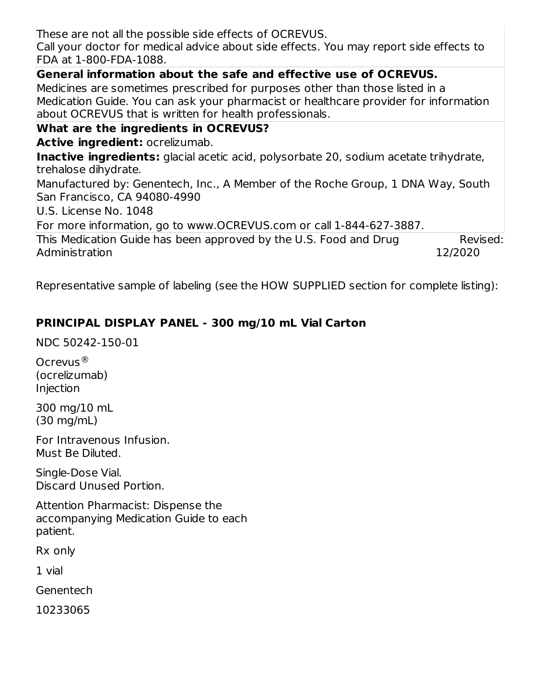This Medication Guide has been approved by the U.S. Food and Drug Administration Revised: 12/2020 These are not all the possible side effects of OCREVUS. Call your doctor for medical advice about side effects. You may report side effects to FDA at 1-800-FDA-1088. **General information about the safe and effective use of OCREVUS.** Medicines are sometimes prescribed for purposes other than those listed in a Medication Guide. You can ask your pharmacist or healthcare provider for information about OCREVUS that is written for health professionals. **What are the ingredients in OCREVUS? Active ingredient:** ocrelizumab. **Inactive ingredients:** glacial acetic acid, polysorbate 20, sodium acetate trihydrate, trehalose dihydrate. Manufactured by: Genentech, Inc., A Member of the Roche Group, 1 DNA Way, South San Francisco, CA 94080-4990 U.S. License No. 1048 For more information, go to www.OCREVUS.com or call 1-844-627-3887.

Representative sample of labeling (see the HOW SUPPLIED section for complete listing):

# **PRINCIPAL DISPLAY PANEL - 300 mg/10 mL Vial Carton**

NDC 50242-150-01

Ocrevus ®(ocrelizumab) Injection

300 mg/10 mL (30 mg/mL)

For Intravenous Infusion. Must Be Diluted.

Single-Dose Vial. Discard Unused Portion.

Attention Pharmacist: Dispense the accompanying Medication Guide to each patient.

Rx only

1 vial

Genentech

10233065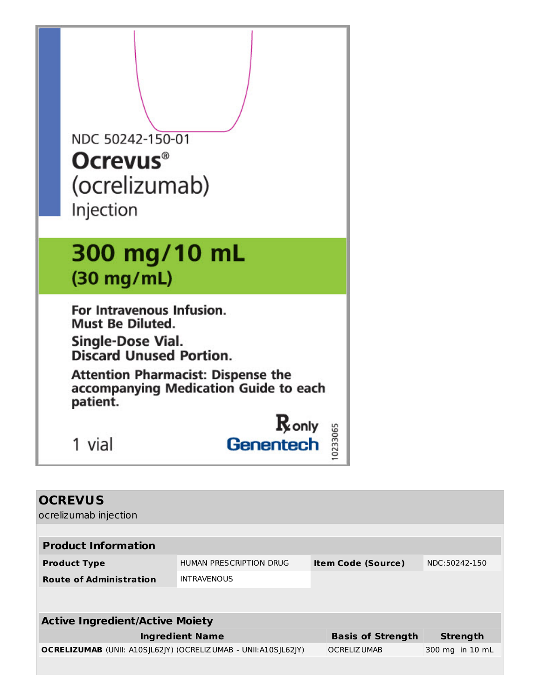| NDC 50242-150-01<br><b>Ocrevus</b> <sup>®</sup><br>(ocrelizumab)<br>Injection                                                                                                                                 |
|---------------------------------------------------------------------------------------------------------------------------------------------------------------------------------------------------------------|
| 300 mg/10 mL<br>$(30 \text{ mg/mL})$                                                                                                                                                                          |
| For Intravenous Infusion.<br><b>Must Be Diluted.</b><br>Single-Dose Vial.<br><b>Discard Unused Portion.</b><br><b>Attention Pharmacist: Dispense the</b><br>accompanying Medication Guide to each<br>patient. |
| $\mathbf R$ only<br>Genentech<br>1 vial                                                                                                                                                                       |

| <b>OCREVUS</b><br>ocrelizumab injection                        |                         |                           |                 |
|----------------------------------------------------------------|-------------------------|---------------------------|-----------------|
| <b>Product Information</b>                                     |                         |                           |                 |
| <b>Product Type</b>                                            | HUMAN PRESCRIPTION DRUG | <b>Item Code (Source)</b> | NDC:50242-150   |
| <b>Route of Administration</b>                                 | <b>INTRAVENOUS</b>      |                           |                 |
|                                                                |                         |                           |                 |
| <b>Active Ingredient/Active Moiety</b>                         |                         |                           |                 |
|                                                                | <b>Ingredient Name</b>  | <b>Basis of Strength</b>  | <b>Strength</b> |
| OCRELIZUMAB (UNII: A10SJL62JY) (OCRELIZUMAB - UNII:A10SJL62JY) |                         | <b>OCRELIZ UMAB</b>       | 300 mg in 10 mL |
|                                                                |                         |                           |                 |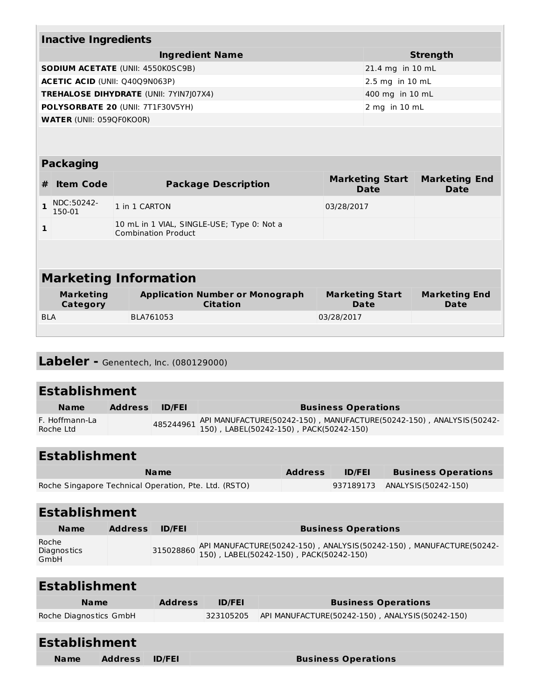|            | <b>Inactive Ingredients</b>         |                                                                          |            |                                       |                                     |
|------------|-------------------------------------|--------------------------------------------------------------------------|------------|---------------------------------------|-------------------------------------|
|            |                                     | <b>Ingredient Name</b>                                                   |            |                                       | <b>Strength</b>                     |
|            |                                     | <b>SODIUM ACETATE (UNII: 4550K0SC9B)</b>                                 |            | 21.4 mg in 10 mL                      |                                     |
|            | ACETIC ACID (UNII: Q40Q9N063P)      |                                                                          |            | 2.5 mg in 10 mL                       |                                     |
|            |                                     | <b>TREHALOSE DIHYDRATE (UNII: 7YIN7 07X4)</b>                            |            | 400 mg in 10 mL                       |                                     |
|            |                                     | POLYSORBATE 20 (UNII: 7T1F30V5YH)                                        |            | 2 mg in 10 mL                         |                                     |
|            | <b>WATER (UNII: 059QF0KO0R)</b>     |                                                                          |            |                                       |                                     |
|            |                                     |                                                                          |            |                                       |                                     |
|            | <b>Packaging</b>                    |                                                                          |            |                                       |                                     |
| #          | <b>Item Code</b>                    | <b>Package Description</b>                                               |            | <b>Marketing Start</b><br><b>Date</b> | <b>Marketing End</b><br><b>Date</b> |
| 1          | NDC:50242-<br>150-01                | 1 in 1 CARTON                                                            | 03/28/2017 |                                       |                                     |
| 1          |                                     | 10 mL in 1 VIAL, SINGLE-USE; Type 0: Not a<br><b>Combination Product</b> |            |                                       |                                     |
|            |                                     |                                                                          |            |                                       |                                     |
|            |                                     | <b>Marketing Information</b>                                             |            |                                       |                                     |
|            | <b>Marketing</b><br><b>Category</b> | <b>Application Number or Monograph</b><br><b>Citation</b>                |            | <b>Marketing Start</b><br>Date        | <b>Marketing End</b><br>Date        |
| <b>BLA</b> |                                     | BLA761053                                                                | 03/28/2017 |                                       |                                     |

# **Labeler -** Genentech, Inc. (080129000)

| <b>Establishment</b>        |                |               |                                                                                                                                    |
|-----------------------------|----------------|---------------|------------------------------------------------------------------------------------------------------------------------------------|
| <b>Name</b>                 | <b>Address</b> | <b>ID/FEI</b> | <b>Business Operations</b>                                                                                                         |
| F. Hoffmann-La<br>Roche Ltd |                |               | 485244961 API MANUFACTURE(50242-150), MANUFACTURE(50242-150), ANALYSIS(50242-<br>485244961 150), LABEL(50242-150), PACK(50242-150) |

| <b>Establishment</b> |
|----------------------|
|----------------------|

| <b>Name</b>                                           | <b>Address</b> | <b>ID/FEI</b> | <b>Business Operations</b> |
|-------------------------------------------------------|----------------|---------------|----------------------------|
| Roche Singapore Technical Operation, Pte. Ltd. (RSTO) |                | 937189173     | ANALYSIS (50242-150)       |

| <b>Establishment</b>         |                |               |                                                                                                                                    |
|------------------------------|----------------|---------------|------------------------------------------------------------------------------------------------------------------------------------|
| <b>Name</b>                  | <b>Address</b> | <b>ID/FEI</b> | <b>Business Operations</b>                                                                                                         |
| Roche<br>Diagnostics<br>GmbH |                |               | 315028860 API MANUFACTURE(50242-150), ANALYSIS(50242-150), MANUFACTURE(50242-<br>315028860 150), LABEL(50242-150), PACK(50242-150) |

| <b>Establishment</b>   |                |               |                                                 |
|------------------------|----------------|---------------|-------------------------------------------------|
| <b>Name</b>            | <b>Address</b> | <b>ID/FEI</b> | <b>Business Operations</b>                      |
| Roche Diagnostics GmbH |                | 323105205     | API MANUFACTURE(50242-150), ANALYSIS(50242-150) |
|                        |                |               |                                                 |

| <b>Establishment</b> |                |               |                            |
|----------------------|----------------|---------------|----------------------------|
| <b>Name</b>          | <b>Address</b> | <b>ID/FEI</b> | <b>Business Operations</b> |